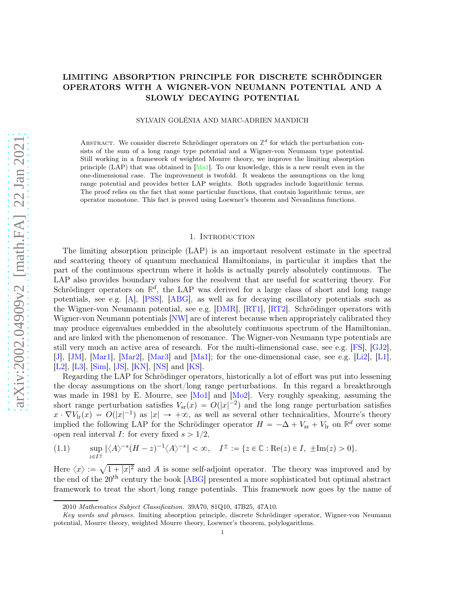# LIMITING ABSORPTION PRINCIPLE FOR DISCRETE SCHRÖDINGER OPERATORS WITH A WIGNER-VON NEUMANN POTENTIAL AND A SLOWLY DECAYING POTENTIAL

#### SYLVAIN GOLÉNIA AND MARC-ADRIEN MANDICH

ABSTRACT. We consider discrete Schrödinger operators on  $\mathbb{Z}^d$  for which the perturbation consists of the sum of a long range type potential and a Wigner-von Neumann type potential. Still working in a framework of weighted Mourre theory, we improve the limiting absorption principle (LAP) that was obtained in [\[Ma1\]](#page-29-0). To our knowledge, this is a new result even in the one-dimensional case. The improvement is twofold. It weakens the assumptions on the long range potential and provides better LAP weights. Both upgrades include logarithmic terms. The proof relies on the fact that some particular functions, that contain logarithmic terms, are operator monotone. This fact is proved using Loewner's theorem and Nevanlinna functions.

#### 1. INTRODUCTION

The limiting absorption principle (LAP) is an important resolvent estimate in the spectral and scattering theory of quantum mechanical Hamiltonians, in particular it implies that the part of the continuous spectrum where it holds is actually purely absolutely continuous. The LAP also provides boundary values for the resolvent that are useful for scattering theory. For Schrödinger operators on  $\mathbb{R}^d$ , the LAP was derived for a large class of short and long range potentials, see e.g. [\[A\]](#page-28-0), [\[PSS\]](#page-29-1), [\[ABG\]](#page-28-1), as well as for decaying oscillatory potentials such as the Wigner-von Neumann potential, see e.g. [\[DMR\]](#page-28-2), [\[RT1\]](#page-29-2), [\[RT2\]](#page-29-3). Schrödinger operators with Wigner-von Neumann potentials [\[NW\]](#page-29-4) are of interest because when appropriately calibrated they may produce eigenvalues embedded in the absolutely continuous spectrum of the Hamiltonian, and are linked with the phenomenon of resonance. The Wigner-von Neumann type potentials are still very much an active area of research. For the multi-dimensional case, see e.g. [\[FS\]](#page-28-3), [\[GJ2\]](#page-28-4), [\[J\]](#page-28-5), [\[JM\]](#page-28-6), [\[Mar1\]](#page-29-5), [\[Mar2\]](#page-29-6), [\[Mar3\]](#page-29-7) and [\[Ma1\]](#page-29-0); for the one-dimensional case, see e.g. [\[Li2\]](#page-28-7), [\[L1\]](#page-28-8), [\[L2\]](#page-29-8), [\[L3\]](#page-29-9), [\[Sim\]](#page-29-10), [\[JS\]](#page-28-9), [\[KN\]](#page-28-10), [\[NS\]](#page-29-11) and [\[KS\]](#page-28-11).

Regarding the LAP for Schrödinger operators, historically a lot of effort was put into lessening the decay assumptions on the short/long range perturbations. In this regard a breakthrough was made in 1981 by E. Mourre, see  $[Mo1]$  and  $[Mo2]$ . Very roughly speaking, assuming the short range perturbation satisfies  $V_{\rm sr}(\tau) = O(|x|^{-2})$  and the long range perturbation satisfies  $x \cdot \nabla V_{\rm lr}(x) = O(|x|^{-1})$  as  $|x| \to +\infty$ , as well as several other technicalities, Mourre's theory implied the following LAP for the Schrödinger operator  $H = -\Delta + V_{sr} + V_{lr}$  on  $\mathbb{R}^d$  over some open real interval *I*: for every fixed  $s > 1/2$ ,

<span id="page-0-0"></span>
$$
(1.1) \qquad \sup_{z \in I^{\pm}} \|\langle A \rangle^{-s} (H - z)^{-1} \langle A \rangle^{-s}\| < \infty, \quad I^{\pm} := \{ z \in \mathbb{C} : \text{Re}(z) \in I, \ \pm \text{Im}(z) > 0 \}.
$$

Here  $\langle x \rangle := \sqrt{1+|x|^2}$  and A is some self-adjoint operator. The theory was improved and by the end of the 20th century the book [\[ABG\]](#page-28-1) presented a more sophisticated but optimal abstract framework to treat the short/long range potentials. This framework now goes by the name of

<sup>2010</sup> Mathematics Subject Classification. 39A70, 81Q10, 47B25, 47A10.

Key words and phrases. limiting absorption principle, discrete Schrödinger operator, Wigner-von Neumann potential, Mourre theory, weighted Mourre theory, Loewner's theorem, polylogarithms.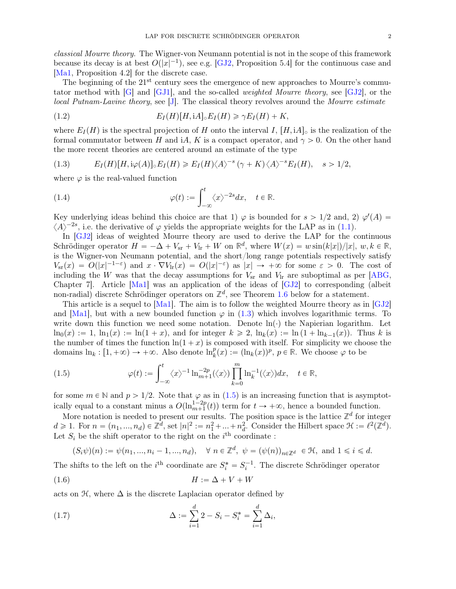*classical Mourre theory*. The Wigner-von Neumann potential is not in the scope of this framework because its decay is at best  $O(|x|^{-1})$ , see e.g. [\[GJ2,](#page-28-4) Proposition 5.4] for the continuous case and [\[Ma1,](#page-29-0) Proposition 4.2] for the discrete case.

The beginning of the  $21^{st}$  century sees the emergence of new approaches to Mourre's commutator method with [\[G\]](#page-28-12) and [\[GJ1\]](#page-28-13), and the so-called *weighted Mourre theory*, see [\[GJ2\]](#page-28-4), or the *local Putnam-Lavine theory*, see [\[J\]](#page-28-5). The classical theory revolves around the *Mourre estimate*

<span id="page-1-2"></span>(1.2) 
$$
E_I(H)[H, iA] \circ E_I(H) \geq \gamma E_I(H) + K,
$$

where  $E_I(H)$  is the spectral projection of H onto the interval I,  $[H, iA]$  is the realization of the formal commutator between H and iA, K is a compact operator, and  $\gamma > 0$ . On the other hand the more recent theories are centered around an estimate of the type

<span id="page-1-0"></span>(1.3) 
$$
E_I(H)[H, i\varphi(A)] \circ E_I(H) \geqslant E_I(H) \langle A \rangle^{-s} (\gamma + K) \langle A \rangle^{-s} E_I(H), \quad s > 1/2,
$$

where  $\varphi$  is the real-valued function

<span id="page-1-3"></span>(1.4) 
$$
\varphi(t) := \int_{-\infty}^{t} \langle x \rangle^{-2s} dx, \quad t \in \mathbb{R}.
$$

Key underlying ideas behind this choice are that 1)  $\varphi$  is bounded for  $s > 1/2$  and, 2)  $\varphi'(A) =$  $\langle A \rangle^{-2s}$ , i.e. the derivative of  $\varphi$  yields the appropriate weights for the LAP as in [\(1.1\)](#page-0-0).

In [\[GJ2\]](#page-28-4) ideas of weighted Mourre theory are used to derive the LAP for the continuous Schrödinger operator  $H = -\Delta + V_{\rm sr} + V_{\rm lr} + W$  on  $\mathbb{R}^d$ , where  $W(x) = w \sin(k|x|)/|x|$ ,  $w, k \in \mathbb{R}$ , is the Wigner-von Neumann potential, and the short/long range potentials respectively satisfy  $V_{\rm sr}(x) = O(|x|^{-1-\epsilon})$  and  $x \cdot \nabla V_{\rm lr}(x) = O(|x|^{-\epsilon})$  as  $|x| \to +\infty$  for some  $\varepsilon > 0$ . The cost of including the W was that the decay assumptions for  $V_{\rm sr}$  and  $V_{\rm lr}$  are suboptimal as per [\[ABG,](#page-28-1) Chapter 7]. Article [\[Ma1\]](#page-29-0) was an application of the ideas of [\[GJ2\]](#page-28-4) to corresponding (albeit non-radial) discrete Schrödinger operators on  $\mathbb{Z}^d$ , see Theorem [1.6](#page-3-0) below for a statement.

This article is a sequel to [\[Ma1\]](#page-29-0). The aim is to follow the weighted Mourre theory as in [\[GJ2\]](#page-28-4) and [\[Ma1\]](#page-29-0), but with a new bounded function  $\varphi$  in [\(1.3\)](#page-1-0) which involves logarithmic terms. To write down this function we need some notation. Denote  $\ln(\cdot)$  the Napierian logarithm. Let  $\ln_0(x) := 1$ ,  $\ln_1(x) := \ln(1 + x)$ , and for integer  $k \ge 2$ ,  $\ln_k(x) := \ln(1 + \ln_{k-1}(x))$ . Thus k is the number of times the function  $\ln(1 + x)$  is composed with itself. For simplicity we choose the domains  $\ln_k : [1, +\infty) \to +\infty$ . Also denote  $\ln_k^p(x) := (\ln_k(x))^p$ ,  $p \in \mathbb{R}$ . We choose  $\varphi$  to be

<span id="page-1-1"></span>(1.5) 
$$
\varphi(t) := \int_{-\infty}^{t} \langle x \rangle^{-1} \ln_{m+1}^{-2p}(\langle x \rangle) \prod_{k=0}^{m} \ln_k^{-1}(\langle x \rangle) dx, \quad t \in \mathbb{R},
$$

for some  $m \in \mathbb{N}$  and  $p > 1/2$ . Note that  $\varphi$  as in [\(1.5\)](#page-1-1) is an increasing function that is asymptotically equal to a constant minus a  $O(\ln_{m+1}^{1-2p}(t))$  term for  $t \to +\infty$ , hence a bounded function.

More notation is needed to present our results. The position space is the lattice  $\mathbb{Z}^d$  for integer  $d \geq 1$ . For  $n = (n_1, ..., n_d) \in \mathbb{Z}^d$ , set  $|n|^2 := n_1^2 + ... + n_d^2$ . Consider the Hilbert space  $\mathcal{H} := \ell^2(\mathbb{Z}^d)$ . Let  $S_i$  be the shift operator to the right on the  $i^{\text{th}}$  coordinate:

<span id="page-1-4"></span> $(S_i\psi)(n) := \psi(n_1, ..., n_i - 1, ..., n_d), \quad \forall \ n \in \mathbb{Z}^d, \ \psi = (\psi(n))_{n \in \mathbb{Z}^d} \in \mathcal{H}, \text{ and } 1 \leq i \leq d.$ 

The shifts to the left on the *i*<sup>th</sup> coordinate are  $S_i^* = S_i^{-1}$ . The discrete Schrödinger operator

$$
(1.6) \t\t\t H := \Delta + V + W
$$

acts on  $\mathfrak{H}$ , where  $\Delta$  is the discrete Laplacian operator defined by

(1.7) 
$$
\Delta := \sum_{i=1}^{d} 2 - S_i - S_i^* = \sum_{i=1}^{d} \Delta_i,
$$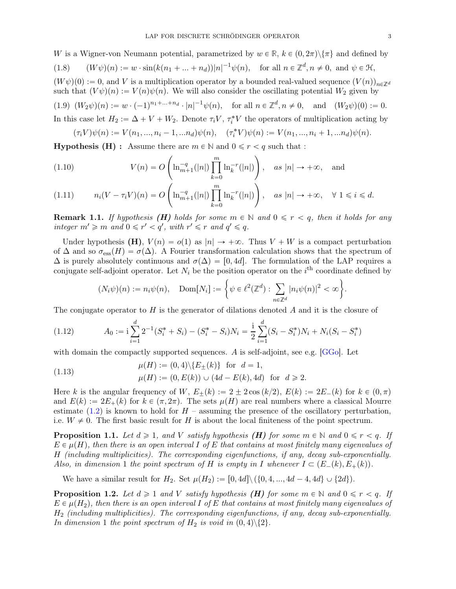W is a Wigner-von Neumann potential, parametrized by  $w \in \mathbb{R}$ ,  $k \in (0, 2\pi) \setminus {\pi}$  and defined by (1.8)  $(W\psi)(n) := w \cdot \sin(k(n_1 + ... + n_d))|n|^{-1}\psi(n)$ , for all  $n \in \mathbb{Z}^d, n \neq 0$ , and  $\psi \in \mathcal{H}$ ,

 $(W \psi)(0) := 0$ , and V is a multiplication operator by a bounded real-valued sequence  $(V(n))_{n \in \mathbb{Z}^d}$ such that  $(V\psi)(n) := V(n)\psi(n)$ . We will also consider the oscillating potential  $W_2$  given by  $(1.9) \ (W_2\psi)(n) := w \cdot (-1)^{n_1 + \dots + n_d} \cdot |n|^{-1} \psi(n)$ , for all  $n \in \mathbb{Z}^d, n \neq 0$ , and  $(W_2\psi)(0) := 0$ . In this case let  $H_2 := \Delta + V + W_2$ . Denote  $\tau_i V$ ,  $\tau_i^* V$  the operators of multiplication acting by

 $(\tau_i V)\psi(n) := V(n_1, ..., n_i - 1, ...n_d)\psi(n), \quad (\tau_i^* V)\psi(n) := V(n_1, ..., n_i + 1, ...n_d)\psi(n).$ 

**Hypothesis (H)**: Assume there are  $m \in \mathbb{N}$  and  $0 \leq r \leq q$  such that :

<span id="page-2-1"></span>(1.10) 
$$
V(n) = O\left(\ln_{m+1}^{-q}(|n|) \prod_{k=0}^{m} \ln_{k}^{-r}(|n|)\right), \text{ as } |n| \to +\infty, \text{ and}
$$

<span id="page-2-0"></span>
$$
(1.11) \t n_i(V - \tau_i V)(n) = O\left(\ln_{m+1}^{-q}(|n|) \prod_{k=0}^m \ln_k^{-r}(|n|)\right), \quad \text{as } |n| \to +\infty, \quad \forall \ 1 \le i \le d.
$$

**Remark 1.1.** If hypothesis (**H**) holds for some  $m \in \mathbb{N}$  and  $0 \leq r < q$ , then it holds for any  $integer \t m' \geqslant m \t and \t 0 \leqslant r' < q', \t with \t r' \leqslant r \t and \t q' \leqslant q.$ 

Under hypothesis (H),  $V(n) = o(1)$  as  $|n| \rightarrow +\infty$ . Thus  $V + W$  is a compact perturbation of  $\Delta$  and so  $\sigma_{\rm ess}(H) = \sigma(\Delta)$ . A Fourier transformation calculation shows that the spectrum of  $\Delta$  is purely absolutely continuous and  $\sigma(\Delta) = [0, 4d]$ . The formulation of the LAP requires a conjugate self-adjoint operator. Let  $N_i$  be the position operator on the  $i<sup>th</sup>$  coordinate defined by

<span id="page-2-4"></span>
$$
(N_i\psi)(n) := n_i\psi(n), \quad \text{Dom}[N_i] := \left\{\psi \in \ell^2(\mathbb{Z}^d) : \sum_{n \in \mathbb{Z}^d} |n_i\psi(n)|^2 < \infty\right\}.
$$

The conjugate operator to  $H$  is the generator of dilations denoted  $A$  and it is the closure of

$$
(1.12) \qquad A_0 := \mathbf{i} \sum_{i=1}^d 2^{-1} (S_i^* + S_i) - (S_i^* - S_i) N_i = \frac{\mathbf{i}}{2} \sum_{i=1}^d (S_i - S_i^*) N_i + N_i (S_i - S_i^*)
$$

with domain the compactly supported sequences. A is self-adjoint, see e.g. [\[GGo\]](#page-28-14). Let

<span id="page-2-5"></span>(1.13) 
$$
\mu(H) := (0, 4) \setminus \{E_{\pm}(k)\} \text{ for } d = 1,
$$

$$
\mu(H) := (0, E(k)) \cup (4d - E(k), 4d) \text{ for } d \ge 2.
$$

Here k is the angular frequency of W,  $E_{+}(k) := 2 \pm 2 \cos(k/2), E(k) := 2E_{-}(k)$  for  $k \in (0, \pi)$ and  $E(k) := 2E_+(k)$  for  $k \in (\pi, 2\pi)$ . The sets  $\mu(H)$  are real numbers where a classical Mourre estimate [\(1.2\)](#page-1-2) is known to hold for  $H$  – assuming the presence of the oscillatory perturbation, i.e.  $W \neq 0$ . The first basic result for H is about the local finiteness of the point spectrum.

<span id="page-2-2"></span>**Proposition 1.1.** Let  $d \geq 1$ , and V satisfy hypothesis (**H)** for some  $m \in \mathbb{N}$  and  $0 \leq r < q$ . If  $E \in \mu(H)$ , then there is an open interval I of E that contains at most finitely many eigenvalues of H *(including multiplicities). The corresponding eigenfunctions, if any, decay sub-exponentially. Also, in dimension* 1 *the point spectrum of* H *is empty in* I whenever  $I \subset (E_-(k), E_+(k)).$ 

We have a similar result for  $H_2$ . Set  $\mu(H_2) := [0, 4d] \setminus (\{0, 4, ..., 4d - 4, 4d\} \cup \{2d\}).$ 

<span id="page-2-3"></span>**Proposition 1.2.** Let  $d \geq 1$  and V satisfy hypothesis (**H**) for some  $m \in \mathbb{N}$  and  $0 \leq r < q$ . If  $E \in \mu(H_2)$ , then there is an open interval I of E that contains at most finitely many eigenvalues of H<sup>2</sup> *(including multiplicities). The corresponding eigenfunctions, if any, decay sub-exponentially. In dimension* 1 *the point spectrum of*  $H_2$  *is void in*  $(0, 4)\$ ?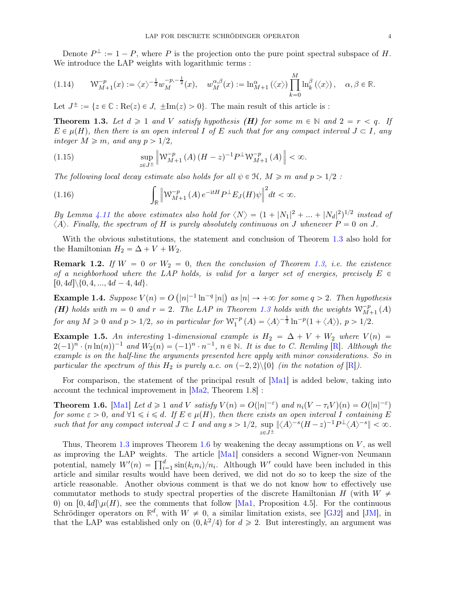Denote  $P^{\perp} := 1 - P$ , where P is the projection onto the pure point spectral subspace of H. We introduce the LAP weights with logarithmic terms :

<span id="page-3-4"></span>
$$
(1.14) \qquad \mathcal{W}_{M+1}^{-p}(x) := \langle x \rangle^{-\frac{1}{2}} w_M^{-p,-\frac{1}{2}}(x), \quad w_M^{\alpha,\beta}(x) := \ln_{M+1}^{\alpha}(\langle x \rangle) \prod_{k=0}^{M} \ln_k^{\beta}(\langle x \rangle), \quad \alpha, \beta \in \mathbb{R}.
$$

Let  $J^{\pm} := \{z \in \mathbb{C} : \text{Re}(z) \in J, \pm \text{Im}(z) > 0\}$ . The main result of this article is :

<span id="page-3-1"></span>**Theorem 1.3.** Let  $d \geq 1$  and V satisfy hypothesis (H) for some  $m \in \mathbb{N}$  and  $2 = r < q$ . If  $E \in \mu(H)$ , then there is an open interval I of E such that for any compact interval  $J \subset I$ , any *integer*  $M \ge m$ *, and any*  $p > 1/2$ *,* 

<span id="page-3-2"></span>(1.15) 
$$
\sup_{z \in J^{\pm}} \left\| W_{M+1}^{-p}(A) (H - z)^{-1} P^{\perp} W_{M+1}^{-p}(A) \right\| < \infty.
$$

*The following local decay estimate also holds for all*  $\psi \in \mathcal{H}$ ,  $M \geq m$  and  $p > 1/2$ :

<span id="page-3-3"></span>(1.16) 
$$
\int_{\mathbb{R}} \left\| \mathcal{W}_{M+1}^{-p}(A) e^{-\mathrm{i} tH} P^{\perp} E_J(H) \psi \right\|^2 dt < \infty.
$$

*By Lemma [4.11](#page-15-0) the above estimates also hold for*  $\langle N \rangle = (1 + |N_1|^2 + ... + |N_d|^2)^{1/2}$  *instead of*  $\langle A \rangle$ *. Finally, the spectrum of* H *is purely absolutely continuous on* J whenever  $P = 0$  on J.

With the obvious substitutions, the statement and conclusion of Theorem [1.3](#page-3-1) also hold for the Hamiltonian  $H_2 = \Delta + V + W_2$ .

**Remark 1.2.** If  $W = 0$  or  $W_2 = 0$ , then the conclusion of Theorem [1.3,](#page-3-1) *i.e.* the existence *of a neighborhood where the LAP holds, is valid for a larger set of energies, precisely*  $E \in$  $[0, 4d] \setminus \{0, 4, ..., 4d - 4, 4d\}.$ 

**Example 1.4.** Suppose  $V(n) = O(|n|^{-1} \ln^{-q} |n|)$  as  $|n| \to +\infty$  for some  $q > 2$ . Then hypothesis (H) holds with  $m = 0$  and  $r = 2$ . The LAP in Theorem [1.3](#page-3-1) holds with the weights  $W_{M+1}^{-p}(A)$ *for any*  $M \ge 0$  *and*  $p > 1/2$ *, so in particular for*  $W_1^{-p}$  $I_1^{-p}(A) = \langle A \rangle^{-\frac{1}{2}} \ln^{-p}(1 + \langle A \rangle), p > 1/2.$ 

Example 1.5. An interesting 1-dimensional example is  $H_2 = \Delta + V + W_2$  where  $V(n) =$  $2(-1)^n \cdot (n \ln(n))^{-1}$  and  $W_2(n) = (-1)^n \cdot n^{-1}$ ,  $n \in \mathbb{N}$ . It is due to C. Remling [\[R\]](#page-29-14). Although the *example is on the half-line the arguments presented here apply with minor considerations. So in particular the spectrum of this*  $H_2$  *is purely a.c. on*  $(-2, 2) \setminus \{0\}$  *(in the notation of*  $[R]$ *).* 

For comparison, the statement of the principal result of [\[Ma1\]](#page-29-0) is added below, taking into account the technical improvement in [\[Ma2,](#page-29-15) Theorem 1.8] :

<span id="page-3-0"></span>**Theorem 1.6.** [\[Ma1\]](#page-29-0) Let  $d \geq 1$  and V satisfy  $V(n) = O(|n|^{-\epsilon})$  and  $n_i(V - \tau_iV)(n) = O(|n|^{-\epsilon})$ *for some*  $\varepsilon > 0$ , and  $\forall 1 \leq i \leq d$ . If  $E \in \mu(H)$ , then there exists an open interval I containing E such that for any compact interval  $J \subset I$  and any  $s > 1/2$ ,  $\sup_{z \in J^{\pm}} |\langle A \rangle^{-s} (H - z)^{-1} P^{\perp} \langle A \rangle^{-s}| < \infty$ .

Thus, Theorem [1.3](#page-3-1) improves Theorem [1.6](#page-3-0) by weakening the decay assumptions on  $V$ , as well as improving the LAP weights. The article [\[Ma1\]](#page-29-0) considers a second Wigner-von Neumann potential, namely  $W'(n) = \prod_{i=1}^d \sin(k_i n_i)/n_i$ . Although W' could have been included in this article and similar results would have been derived, we did not do so to keep the size of the article reasonable. Another obvious comment is that we do not know how to effectively use commutator methods to study spectral properties of the discrete Hamiltonian H (with  $W \neq$ 0) on  $[0, 4d] \setminus \mu(H)$ , see the comments that follow [\[Ma1,](#page-29-0) Proposition 4.5]. For the continuous Schrödinger operators on  $\mathbb{R}^d$ , with  $W \neq 0$ , a similar limitation exists, see [\[GJ2\]](#page-28-4) and [\[JM\]](#page-28-6), in that the LAP was established only on  $(0, k^2/4)$  for  $d \ge 2$ . But interestingly, an argument was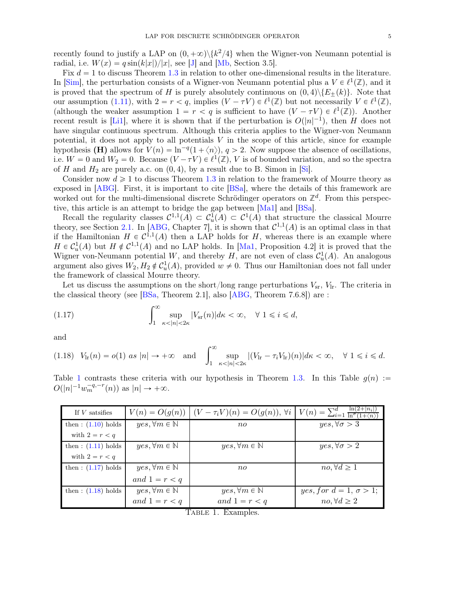recently found to justify a LAP on  $(0, +\infty) \setminus \{k^2/4\}$  when the Wigner-von Neumann potential is radial, i.e.  $W(x) = q \sin(k|x|)/|x|$ , see [\[J\]](#page-28-5) and [\[Mb,](#page-29-16) Section 3.5].

Fix  $d = 1$  to discuss Theorem [1.3](#page-3-1) in relation to other one-dimensional results in the literature. In [\[Sim\]](#page-29-10), the perturbation consists of a Wigner-von Neumann potential plus a  $V \in \ell^1(\mathbb{Z})$ , and it is proved that the spectrum of H is purely absolutely continuous on  $(0, 4)\setminus{E_+(k)}$ . Note that our assumption [\(1.11\)](#page-2-0), with  $2 = r < q$ , implies  $(V - \tau V) \in \ell^1(\mathbb{Z})$  but not necessarily  $V \in \ell^1(\mathbb{Z})$ , (although the weaker assumption  $1 = r < q$  is sufficient to have  $(V - \tau V) \in \ell^1(\mathbb{Z})$ ). Another recent result is [\[Li1\]](#page-28-15), where it is shown that if the perturbation is  $O(|n|^{-1})$ , then H does not have singular continuous spectrum. Although this criteria applies to the Wigner-von Neumann potential, it does not apply to all potentials  $V$  in the scope of this article, since for example hypothesis (**H)** allows for  $V(n) = \ln^{-q}(1 + \langle n \rangle), q > 2$ . Now suppose the absence of oscillations, i.e.  $W = 0$  and  $W_2 = 0$ . Because  $(V - \tau V) \in \ell^1(\mathbb{Z})$ , V is of bounded variation, and so the spectra of H and  $H_2$  are purely a.c. on  $(0, 4)$ , by a result due to B. Simon in [\[Si\]](#page-29-17).

Consider now  $d \geq 1$  to discuss Theorem [1.3](#page-3-1) in relation to the framework of Mourre theory as exposed in [\[ABG\]](#page-28-1). First, it is important to cite [\[BSa\]](#page-28-16), where the details of this framework are worked out for the multi-dimensional discrete Schrödinger operators on  $\mathbb{Z}^d$ . From this perspective, this article is an attempt to bridge the gap between [\[Ma1\]](#page-29-0) and [\[BSa\]](#page-28-16).

Recall the regularity classes  $C^{1,1}(A) \subset C^1(A) \subset C^1(A)$  that structure the classical Mourre theory, see Section [2.1.](#page-6-0) In [\[ABG,](#page-28-1) Chapter 7], it is shown that  $\mathcal{C}^{1,1}(A)$  is an optimal class in that if the Hamiltonian  $H \in C^{1,1}(A)$  then a LAP holds for H, whereas there is an example where  $H \in C_u^1(A)$  but  $H \notin C^{1,1}(A)$  and no LAP holds. In [\[Ma1,](#page-29-0) Proposition 4.2] it is proved that the Wigner von-Neumann potential W, and thereby H, are not even of class  $\mathcal{C}_u^1(A)$ . An analogous argument also gives  $W_2, H_2 \notin C_u^1(A)$ , provided  $w \neq 0$ . Thus our Hamiltonian does not fall under the framework of classical Mourre theory.

Let us discuss the assumptions on the short/long range perturbations  $V_{sr}$ ,  $V_{lr}$ . The criteria in the classical theory (see [\[BSa,](#page-28-16) Theorem 2.1], also [\[ABG,](#page-28-1) Theorem 7.6.8]) are :

<span id="page-4-1"></span>(1.17) 
$$
\int_{1}^{\infty} \sup_{\kappa < |n| < 2\kappa} |V_{\rm sr}(n)| d\kappa < \infty, \quad \forall \ 1 \leq i \leq d,
$$

and

<span id="page-4-2"></span>
$$
(1.18) \quad V_{\rm lr}(n) = o(1) \text{ as } |n| \to +\infty \quad \text{and} \quad \int_1^{\infty} \sup_{\kappa < |n| < 2\kappa} |(V_{\rm lr} - \tau_i V_{\rm lr})(n)| d\kappa < \infty, \quad \forall \ 1 \leq i \leq d.
$$

Table [1](#page-4-0) contrasts these criteria with our hypothesis in Theorem [1.3.](#page-3-1) In this Table  $g(n)$  :=  $O(|n|^{-1}w_m^{-q,-r}(n))$  as  $|n| \to +\infty$ .

<span id="page-4-0"></span>

| If $V$ satsifies     |                                 | $V(n) = O(g(n))$ $(V - \tau_i V)(n) = O(g(n))$ , $\forall i$ | $V(n) = \sum_{i=1}^{d} \frac{\ln(2 +  n_i )}{\ln^{\sigma}(1 + \langle n \rangle)}$ |
|----------------------|---------------------------------|--------------------------------------------------------------|------------------------------------------------------------------------------------|
| then: $(1.10)$ holds | $yes, \forall m \in \mathbb{N}$ | $n_{0}$                                                      | $yes, \forall \sigma > 3$                                                          |
| with $2 = r < q$     |                                 |                                                              |                                                                                    |
| then: $(1.11)$ holds | $yes, \forall m \in \mathbb{N}$ | $yes, \forall m \in \mathbb{N}$                              | $yes, \forall \sigma > 2$                                                          |
| with $2 = r < q$     |                                 |                                                              |                                                                                    |
| then: $(1.17)$ holds | $yes, \forall m \in \mathbb{N}$ | $n_{0}$                                                      | $no, \forall d \geq 1$                                                             |
|                      | and $1 = r < q$                 |                                                              |                                                                                    |
| then $:(1.18)$ holds | $yes, \forall m \in \mathbb{N}$ | $yes, \forall m \in \mathbb{N}$                              | $yes, for d = 1, \sigma > 1;$                                                      |
|                      | and $1 = r < q$                 | and $1 = r < q$<br>$m_{i}$ and $n = 1$                       | $no, \forall d \geq 2$                                                             |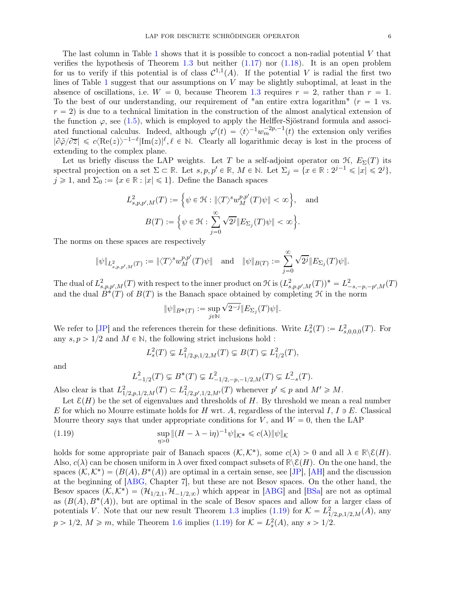The last column in Table [1](#page-4-0) shows that it is possible to concoct a non-radial potential  $V$  that verifies the hypothesis of Theorem [1.3](#page-3-1) but neither  $(1.17)$  nor  $(1.18)$ . It is an open problem for us to verify if this potential is of class  $\mathcal{C}^{1,1}(A)$ . If the potential V is radial the first two lines of Table [1](#page-4-0) suggest that our assumptions on  $V$  may be slightly suboptimal, at least in the absence of oscillations, i.e.  $W = 0$ , because Theorem [1.3](#page-3-1) requires  $r = 2$ , rather than  $r = 1$ . To the best of our understanding, our requirement of "an entire extra logarithm"  $(r = 1$  vs.  $r = 2$ ) is due to a technical limitation in the construction of the almost analytical extension of the function  $\varphi$ , see [\(1.5\)](#page-1-1), which is employed to apply the Helffer-Sjöstrand formula and associated functional calculus. Indeed, although  $\varphi'(t) = \langle t \rangle^{-1} w_m^{-2p,-1}(t)$  the extension only verifies  $|\partial \tilde{\varphi}/\partial \overline{z}| \leq c \langle \text{Re}(z) \rangle^{-1-\ell} |\text{Im}(z)|^{\ell}, \ell \in \mathbb{N}$ . Clearly all logarithmic decay is lost in the process of extending to the complex plane.

Let us briefly discuss the LAP weights. Let T be a self-adjoint operator on  $\mathcal{H}$ ,  $E_{\Sigma}(T)$  its spectral projection on a set  $\Sigma \subset \mathbb{R}$ . Let  $s, p, p' \in \mathbb{R}$ ,  $M \in \mathbb{N}$ . Let  $\Sigma_j = \{x \in \mathbb{R} : 2^{j-1} \leqslant |x| \leqslant 2^j\}$ ,  $j \geq 1$ , and  $\Sigma_0 := \{x \in \mathbb{R} : |x| \leq 1\}$ . Define the Banach spaces

$$
L_{s,p,p',M}^2(T) := \left\{ \psi \in \mathcal{H} : \|\langle T \rangle^s w_M^{p,p'}(T)\psi\| < \infty \right\}, \quad \text{and}
$$
\n
$$
B(T) := \left\{ \psi \in \mathcal{H} : \sum_{j=0}^{\infty} \sqrt{2^j} \|E_{\Sigma_j}(T)\psi\| < \infty \right\}.
$$

The norms on these spaces are respectively

$$
\|\psi\|_{L^2_{s,p,p',M}(T)}:=\|\langle T\rangle^s w^{p,p'}_M(T)\psi\|\quad {\rm and}\quad \|\psi\|_{B(T)}:=\sum_{j=0}^\infty \sqrt{2^j}\|E_{\Sigma_j}(T)\psi\|.
$$

The dual of  $L^2_{s,p,p',M}(T)$  with respect to the inner product on H is  $(L^2_{s,p,p',M}(T))^* = L^2_{-s,-p,-p',M}(T)$ and the dual  $B^*(T)$  of  $B(T)$  is the Banach space obtained by completing  $\mathcal H$  in the norm

$$
\|\psi\|_{B^*(T)}:=\sup_{j\in\mathbb{N}}\sqrt{2^{-j}}\|E_{\Sigma_j}(T)\psi\|.
$$

We refer to [\[JP\]](#page-28-17) and the references therein for these definitions. Write  $L_s^2(T) := L_{s,0,0,0}^2(T)$ . For any  $s, p > 1/2$  and  $M \in \mathbb{N}$ , the following strict inclusions hold :

$$
L_s^2(T) \subsetneq L_{1/2,p,1/2,M}^2(T) \subsetneq B(T) \subsetneq L_{1/2}^2(T),
$$

and

<span id="page-5-0"></span>
$$
L_{-1/2}^2(T) \subsetneq B^*(T) \subsetneq L_{-1/2, -p, -1/2, M}^2(T) \subsetneq L_{-s}^2(T).
$$

Also clear is that  $L^2_{1/2,p,1/2,M}(T) \subset L^2_{1/2,p',1/2,M'}(T)$  whenever  $p' \leq p$  and  $M' \geq M$ .

Let  $\mathcal{E}(H)$  be the set of eigenvalues and thresholds of H. By threshold we mean a real number E for which no Mourre estimate holds for H wrt. A, regardless of the interval I,  $I \ni E$ . Classical Mourre theory says that under appropriate conditions for V, and  $W = 0$ , then the LAP

(1.19) 
$$
\sup_{\eta>0} \|(H-\lambda-\mathrm{i}\eta)^{-1}\psi\|_{\mathcal{K}^*} \leq c(\lambda) \|\psi\|_{\mathcal{K}}
$$

holds for some appropriate pair of Banach spaces  $(\mathcal{K}, \mathcal{K}^*)$ , some  $c(\lambda) > 0$  and all  $\lambda \in \mathbb{R} \setminus \mathcal{E}(H)$ . Also,  $c(\lambda)$  can be chosen uniform in  $\lambda$  over fixed compact subsets of  $\mathbb{R}\setminus \mathcal{E}(H)$ . On the one hand, the spaces  $(\mathcal{K}, \mathcal{K}^*) = (B(A), B^*(A))$  are optimal in a certain sense, see [\[JP\]](#page-28-17), [\[AH\]](#page-28-18) and the discussion at the beginning of [\[ABG,](#page-28-1) Chapter 7], but these are not Besov spaces. On the other hand, the Besov spaces  $(\mathcal{K}, \mathcal{K}^*) = (\mathcal{H}_{1/2,1}, \mathcal{H}_{-1/2,\infty})$  which appear in [\[ABG\]](#page-28-1) and [\[BSa\]](#page-28-16) are not as optimal as  $(B(A), B^*(A))$ , but are optimal in the scale of Besov spaces and allow for a larger class of potentials V. Note that our new result Theorem [1.3](#page-3-1) implies [\(1.19\)](#page-5-0) for  $\mathcal{K} = L^2_{1/2,p,1/2,M}(A)$ , any  $p > 1/2$ ,  $M \ge m$ , while Theorem [1.6](#page-3-0) implies [\(1.19\)](#page-5-0) for  $K = L_s^2(A)$ , any  $s > 1/2$ .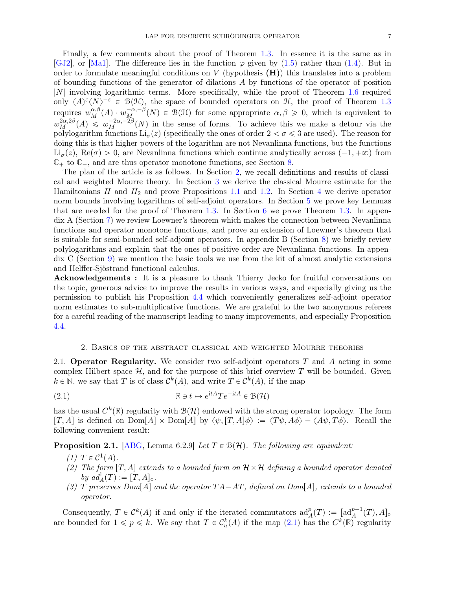Finally, a few comments about the proof of Theorem [1.3.](#page-3-1) In essence it is the same as in [\[GJ2\]](#page-28-4), or [\[Ma1\]](#page-29-0). The difference lies in the function  $\varphi$  given by [\(1.5\)](#page-1-1) rather than [\(1.4\)](#page-1-3). But in order to formulate meaningful conditions on  $V$  (hypothesis  $(H)$ ) this translates into a problem of bounding functions of the generator of dilations  $A$  by functions of the operator of position |N| involving logarithmic terms. More specifically, while the proof of Theorem [1.6](#page-3-0) required only  $\langle A \rangle^{\epsilon} \langle N \rangle^{-\epsilon} \in \mathcal{B}(\mathcal{H})$ , the space of bounded operators on H, the proof of Theorem [1.3](#page-3-1) requires  $w_M^{\alpha,\beta}(A) \cdot w_M^{-\alpha,-\beta}(N) \in \mathcal{B}(\mathcal{H})$  for some appropriate  $\alpha,\beta \geq 0$ , which is equivalent to  $w_M^{2\alpha,2\beta}(A) \leq w_M^{-2\alpha,-2\beta}(N)$  in the sense of forms. To achieve this we make a detour via the polylogarithm functions  $Li_{\sigma}(z)$  (specifically the ones of order  $2 < \sigma \leq 3$  are used). The reason for doing this is that higher powers of the logarithm are not Nevanlinna functions, but the functions  $\text{Li}_{\sigma}(z), \text{Re}(\sigma) > 0$ , are Nevanlinna functions which continue analytically across  $(-1, +\infty)$  from  $\mathbb{C}_+$  to  $\mathbb{C}_-$ , and are thus operator monotone functions, see Section [8.](#page-25-0)

The plan of the article is as follows. In Section [2,](#page-6-1) we recall definitions and results of classical and weighted Mourre theory. In Section [3](#page-7-0) we derive the classical Mourre estimate for the Hamiltonians  $H$  and  $H_2$  and prove Propositions [1.1](#page-2-2) and [1.2.](#page-2-3) In Section [4](#page-9-0) we derive operator norm bounds involving logarithms of self-adjoint operators. In Section [5](#page-16-0) we prove key Lemmas that are needed for the proof of Theorem [1.3.](#page-3-1) In Section [6](#page-18-0) we prove Theorem [1.3.](#page-3-1) In appendix A (Section [7\)](#page-22-0) we review Loewner's theorem which makes the connection between Nevanlinna functions and operator monotone functions, and prove an extension of Loewner's theorem that is suitable for semi-bounded self-adjoint operators. In appendix B (Section [8\)](#page-25-0) we briefly review polylogarithms and explain that the ones of positive order are Nevanlinna functions. In appendix C (Section [9\)](#page-27-0) we mention the basic tools we use from the kit of almost analytic extensions and Helffer-Sjöstrand functional calculus.

Acknowledgements : It is a pleasure to thank Thierry Jecko for fruitful conversations on the topic, generous advice to improve the results in various ways, and especially giving us the permission to publish his Proposition [4.4](#page-11-0) which conveniently generalizes self-adjoint operator norm estimates to sub-multiplicative functions. We are grateful to the two anonymous referees for a careful reading of the manuscript leading to many improvements, and especially Proposition [4.4.](#page-11-0)

### <span id="page-6-2"></span>2. Basics of the abstract classical and weighted Mourre theories

<span id="page-6-1"></span><span id="page-6-0"></span>2.1. **Operator Regularity.** We consider two self-adjoint operators  $T$  and  $\tilde{A}$  acting in some complex Hilbert space  $H$ , and for the purpose of this brief overview T will be bounded. Given  $k \in \mathbb{N}$ , we say that T is of class  $\mathcal{C}^k(A)$ , and write  $T \in \mathcal{C}^k(A)$ , if the map

(2.1) 
$$
\mathbb{R} \ni t \mapsto e^{\mathrm{i}tA} T e^{-\mathrm{i}tA} \in \mathcal{B}(\mathcal{H})
$$

has the usual  $C^k(\mathbb{R})$  regularity with  $\mathcal{B}(\mathcal{H})$  endowed with the strong operator topology. The form  $[T, A]$  is defined on  $Dom[A] \times Dom[A]$  by  $\langle \psi, [T, A] \phi \rangle := \langle T\psi, A\phi \rangle - \langle A\psi, T\phi \rangle$ . Recall the following convenient result:

<span id="page-6-3"></span>**Proposition 2.1.** [\[ABG,](#page-28-1) Lemma 6.2.9] *Let*  $T \in \mathcal{B}(\mathcal{H})$ *. The following are equivalent:* 

- *(1)*  $T \in C^1(A)$ .
- *(2) The form*  $[T, A]$  *extends to a bounded form on*  $H \times H$  *defining a bounded operator denoted by*  $ad_A^1(T) := [T, A]$ *.*
- *(3)* T preserves  $Dom[A]$  and the operator  $TA AT$ , defined on  $Dom[A]$ , extends to a bounded *operator.*

Consequently,  $T \in C^k(A)$  if and only if the iterated commutators  $\mathrm{ad}_A^p(T) := \left[ \mathrm{ad}_A^{p-1}(T), A \right]$ are bounded for  $1 \leq p \leq k$ . We say that  $T \in C_u^k(A)$  if the map  $(2.1)$  has the  $C^k(\mathbb{R})$  regularity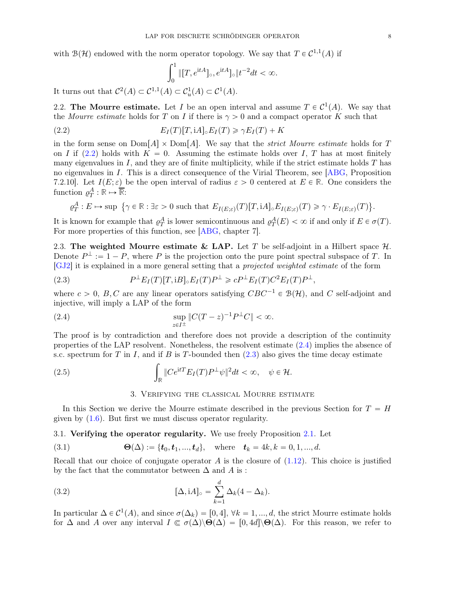with  $\mathcal{B}(\mathcal{H})$  endowed with the norm operator topology. We say that  $T \in C^{1,1}(A)$  if

<span id="page-7-1"></span>
$$
\int_0^1 \|[T, e^{\mathrm{i}tA}]_\circ, e^{\mathrm{i}tA}]_\circ \|t^{-2}dt < \infty.
$$

It turns out that  $C^2(A) \subset C^{1,1}(A) \subset C^1_u(A) \subset C^1(A)$ .

2.2. The Mourre estimate. Let I be an open interval and assume  $T \in C^1(A)$ . We say that the *Mourre estimate* holds for T on I if there is  $\gamma > 0$  and a compact operator K such that

(2.2) 
$$
E_I(T)[T,\mathrm{i}A] \circ E_I(T) \geq \gamma E_I(T) + K
$$

in the form sense on  $Dom[A] \times Dom[A]$ . We say that the *strict Mourre estimate* holds for T on I if [\(2.2\)](#page-7-1) holds with  $K = 0$ . Assuming the estimate holds over I, T has at most finitely many eigenvalues in  $I$ , and they are of finite multiplicity, while if the strict estimate holds  $T$  has no eigenvalues in I. This is a direct consequence of the Virial Theorem, see [\[ABG,](#page-28-1) Proposition 7.2.10. Let  $I(E; \varepsilon)$  be the open interval of radius  $\varepsilon > 0$  centered at  $E \in \mathbb{R}$ . One considers the function  $\varrho_T^A : \mathbb{R} \mapsto \overline{\mathbb{R}}$ :

$$
\varrho^A_T: E \mapsto \sup\ \big\{\gamma \in \mathbb{R}: \exists \varepsilon>0 \text{ such that } E_{I(E;\varepsilon)}(T)[T,\textnormal{i} A]_\circ E_{I(E;\varepsilon)}(T) \geqslant \gamma \cdot E_{I(E;\varepsilon)}(T) \big\}.
$$

It is known for example that  $\varrho_T^A$  is lower semicontinuous and  $\varrho_T^A(E) < \infty$  if and only if  $E \in \sigma(T)$ . For more properties of this function, see [\[ABG,](#page-28-1) chapter 7].

<span id="page-7-4"></span>2.3. The weighted Mourre estimate & LAP. Let T be self-adjoint in a Hilbert space  $\mathcal{H}$ . Denote  $P^{\perp} := 1 - P$ , where P is the projection onto the pure point spectral subspace of T. In [\[GJ2\]](#page-28-4) it is explained in a more general setting that a *projected weighted estimate* of the form

<span id="page-7-3"></span>(2.3) 
$$
P^{\perp}E_I(T)[T, iB] \circ E_I(T)P^{\perp} \geqslant cP^{\perp}E_I(T)C^2E_I(T)P^{\perp},
$$

where  $c > 0$ , B, C are any linear operators satisfying  $CBC^{-1} \in \mathcal{B}(\mathcal{H})$ , and C self-adjoint and injective, will imply a LAP of the form

(2.4) 
$$
\sup_{z \in I^{\pm}} \|C(T - z)^{-1} P^{\perp} C\| < \infty.
$$

The proof is by contradiction and therefore does not provide a description of the continuity properties of the LAP resolvent. Nonetheless, the resolvent estimate [\(2.4\)](#page-7-2) implies the absence of s.c. spectrum for T in I, and if B is T-bounded then  $(2.3)$  also gives the time decay estimate

<span id="page-7-0"></span>(2.5) 
$$
\int_{\mathbb{R}} \|Ce^{itT}E_I(T)P^{\perp}\psi\|^2 dt < \infty, \quad \psi \in \mathcal{H}.
$$

#### <span id="page-7-2"></span>3. Verifying the classical Mourre estimate

In this Section we derive the Mourre estimate described in the previous Section for  $T = H$ given by [\(1.6\)](#page-1-4). But first we must discuss operator regularity.

3.1. Verifying the operator regularity. We use freely Proposition [2.1.](#page-6-3) Let

(3.1) 
$$
\Theta(\Delta) := \{t_0, t_1, ..., t_d\}, \text{ where } t_k = 4k, k = 0, 1, ..., d.
$$

Recall that our choice of conjugate operator A is the closure of  $(1.12)$ . This choice is justified by the fact that the commutator between  $\Delta$  and  $\overline{A}$  is :

(3.2) 
$$
[\Delta, iA]_{\circ} = \sum_{k=1}^{d} \Delta_k (4 - \Delta_k).
$$

In particular  $\Delta \in C^1(A)$ , and since  $\sigma(\Delta_k) = [0, 4], \forall k = 1, ..., d$ , the strict Mourre estimate holds for  $\Delta$  and A over any interval  $I \subseteq \sigma(\Delta) \setminus \Theta(\Delta) = [0, 4d] \setminus \Theta(\Delta)$ . For this reason, we refer to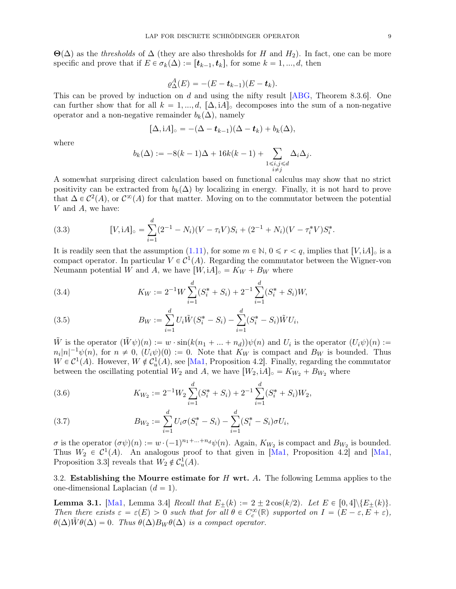$\Theta(\Delta)$  as the *thresholds* of  $\Delta$  (they are also thresholds for H and H<sub>2</sub>). In fact, one can be more specific and prove that if  $E \in \sigma_k(\Delta) := [t_{k-1}, t_k]$ , for some  $k = 1, ..., d$ , then

$$
\varrho_{\Delta}^A(E) = -(E - \boldsymbol{t}_{k-1})(E - \boldsymbol{t}_k).
$$

This can be proved by induction on d and using the nifty result [\[ABG,](#page-28-1) Theorem 8.3.6]. One can further show that for all  $k = 1, ..., d$ ,  $[\Delta, iA]_0$  decomposes into the sum of a non-negative operator and a non-negative remainder  $b_k(\Delta)$ , namely

$$
[\Delta, iA]_{\circ} = -(\Delta - \boldsymbol{t}_{k-1})(\Delta - \boldsymbol{t}_{k}) + b_{k}(\Delta),
$$

where

$$
b_k(\Delta) := -8(k-1)\Delta + 16k(k-1) + \sum_{\substack{1 \le i,j \le d \\ i \ne j}} \Delta_i \Delta_j.
$$

A somewhat surprising direct calculation based on functional calculus may show that no strict positivity can be extracted from  $b_k(\Delta)$  by localizing in energy. Finally, it is not hard to prove that  $\Delta \in C^2(A)$ , or  $C^{\infty}(A)$  for that matter. Moving on to the commutator between the potential V and A, we have:

<span id="page-8-0"></span>(3.3) 
$$
[V, iA]_{\circ} = \sum_{i=1}^{d} (2^{-1} - N_i)(V - \tau_i V)S_i + (2^{-1} + N_i)(V - \tau_i^* V)S_i^*.
$$

It is readily seen that the assumption [\(1.11\)](#page-2-0), for some  $m \in \mathbb{N}$ ,  $0 \le r < q$ , implies that  $[V, iA]_{\circ}$  is a compact operator. In particular  $V \in C^1(A)$ . Regarding the commutator between the Wigner-von Neumann potential W and A, we have  $[W, iA]_{\circ} = K_W + B_W$  where

<span id="page-8-1"></span>(3.4) 
$$
K_W := 2^{-1}W \sum_{i=1}^d (S_i^* + S_i) + 2^{-1} \sum_{i=1}^d (S_i^* + S_i)W,
$$

<span id="page-8-2"></span>(3.5) 
$$
B_W := \sum_{i=1}^d U_i \tilde{W}(S_i^* - S_i) - \sum_{i=1}^d (S_i^* - S_i) \tilde{W} U_i,
$$

W is the operator  $(\tilde{W} \psi)(n) := w \cdot \sin(k(n_1 + ... + n_d)) \psi(n)$  and  $U_i$  is the operator  $(U_i \psi)(n) :=$  $n_i|n|^{-1}\psi(n)$ , for  $n \neq 0$ ,  $(U_i\psi)(0) := 0$ . Note that  $K_W$  is compact and  $B_W$  is bounded. Thus  $W \in C^1(A)$ . However,  $W \notin C^1_u(A)$ , see [\[Ma1,](#page-29-0) Proposition 4.2]. Finally, regarding the commutator between the oscillating potential  $W_2$  and A, we have  $[W_2, iA]_{\circ} = K_{W_2} + B_{W_2}$  where

(3.6) 
$$
K_{W_2} := 2^{-1} W_2 \sum_{i=1}^d (S_i^* + S_i) + 2^{-1} \sum_{i=1}^d (S_i^* + S_i) W_2,
$$

(3.7) 
$$
B_{W_2} := \sum_{i=1}^d U_i \sigma(S_i^* - S_i) - \sum_{i=1}^d (S_i^* - S_i) \sigma U_i,
$$

 $\sigma$  is the operator  $(\sigma\psi)(n) := w \cdot (-1)^{n_1 + \dots + n_d} \psi(n)$ . Again,  $K_{W_2}$  is compact and  $B_{W_2}$  is bounded. Thus  $W_2 \in C^1(A)$ . An analogous proof to that given in [\[Ma1,](#page-29-0) Proposition 4.2] and [Ma1, Proposition 3.3 reveals that  $W_2 \notin C_u^1(A)$ .

3.2. Establishing the Mourre estimate for  $H$  wrt. A. The following Lemma applies to the one-dimensional Laplacian  $(d = 1)$ .

<span id="page-8-3"></span>**Lemma 3.1.** [\[Ma1,](#page-29-0) Lemma 3.4] *Recall that*  $E_+(k) := 2 \pm 2 \cos(k/2)$ . Let  $E \in [0, 4] \setminus \{E_+(k)\}.$ *Then there exists*  $\varepsilon = \varepsilon(E) > 0$  *such that for all*  $\theta \in C_c^{\infty}(\mathbb{R})$  *supported on*  $I = (E - \varepsilon, E + \varepsilon)$ ,  $\theta(\Delta)W\theta(\Delta) = 0$ . Thus  $\theta(\Delta)B_W\theta(\Delta)$  is a compact operator.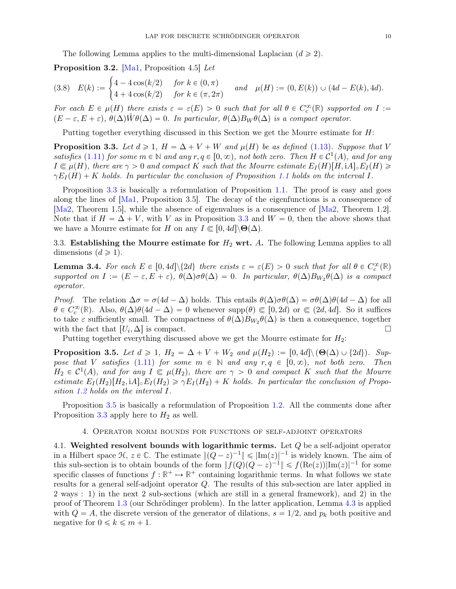The following Lemma applies to the multi-dimensional Laplacian  $(d \geq 2)$ .

<span id="page-9-3"></span>Proposition 3.2. [\[Ma1,](#page-29-0) Proposition 4.5] *Let*

$$
(3.8) \quad E(k) := \begin{cases} 4 - 4\cos(k/2) & \text{for } k \in (0, \pi) \\ 4 + 4\cos(k/2) & \text{for } k \in (\pi, 2\pi) \end{cases} \quad \text{and} \quad \mu(H) := (0, E(k)) \cup (4d - E(k), 4d).
$$

*For each*  $E \in \mu(H)$  there exists  $\varepsilon = \varepsilon(E) > 0$  such that for all  $\theta \in C_c^{\infty}(\mathbb{R})$  supported on  $I :=$  $(E - \varepsilon, E + \varepsilon), \ \theta(\Delta)\tilde{W}\theta(\Delta) = 0.$  In particular,  $\theta(\Delta)B_W\theta(\Delta)$  is a compact operator.

Putting together everything discussed in this Section we get the Mourre estimate for H:

<span id="page-9-1"></span>**Proposition 3.3.** Let  $d \geq 1$ ,  $H = \Delta + V + W$  and  $\mu(H)$  be as defined [\(1.13\)](#page-2-5). Suppose that V *satisfies* [\(1.11\)](#page-2-0) *for some*  $m \in \mathbb{N}$  *and any*  $r, q \in [0, \infty)$ , *not both zero. Then*  $H \in C^1(A)$ , *and for any*  $I \subseteq \mu(H)$ , there are  $\gamma > 0$  and compact K such that the Mourre estimate  $E_I(H)[H, iA]_0E_I(H) \geq$  $\gamma E_I(H) + K$  *holds. In particular the conclusion of Proposition* [1.1](#page-2-2) *holds on the interval* I.

Proposition [3.3](#page-9-1) is basically a reformulation of Proposition [1.1.](#page-2-2) The proof is easy and goes along the lines of [\[Ma1,](#page-29-0) Proposition 3.5]. The decay of the eigenfunctions is a consequence of [\[Ma2,](#page-29-15) Theorem 1.5], while the absence of eigenvalues is a consequence of [\[Ma2,](#page-29-15) Theorem 1.2]. Note that if  $H = \Delta + V$ , with V as in Proposition [3.3](#page-9-1) and  $W = 0$ , then the above shows that we have a Mourre estimate for H on any  $I \subseteq [0, 4d] \backslash \Theta(\Delta)$ .

3.3. Establishing the Mourre estimate for  $H_2$  wrt. A. The following Lemma applies to all dimensions  $(d \geq 1)$ .

**Lemma 3.4.** For each  $E \in [0, 4d] \setminus \{2d\}$  there exists  $\varepsilon = \varepsilon(E) > 0$  such that for all  $\theta \in C_c^{\infty}(\mathbb{R})$  $supported$  on  $I := (E - \varepsilon, E + \varepsilon), \ \theta(\Delta)\sigma\theta(\Delta) = 0$ . In particular,  $\theta(\Delta)B_{W_2}\theta(\Delta)$  is a compact *operator.*

*Proof.* The relation  $\Delta \sigma = \sigma(4d - \Delta)$  holds. This entails  $\theta(\Delta)\sigma\theta(\Delta) = \sigma\theta(\Delta)\theta(4d - \Delta)$  for all  $\theta \in C_c^{\infty}(\mathbb{R})$ . Also,  $\theta(\Delta)\theta(4d - \Delta) = 0$  whenever supp $(\theta) \subseteq [0, 2d)$  or  $\in (2d, 4d]$ . So it suffices to take  $\varepsilon$  sufficiently small. The compactness of  $\theta(\Delta)B_{W_2}\theta(\Delta)$  is then a consequence, together with the fact that  $[U_i, \Delta]$  is compact.

Putting together everything discussed above we get the Mourre estimate for  $H_2$ :

<span id="page-9-2"></span>**Proposition 3.5.** Let  $d \geq 1$ ,  $H_2 = \Delta + V + W_2$  and  $\mu(H_2) := [0, 4d] \setminus (\Theta(\Delta) \cup \{2d\})$ . Sup*pose that* V *satisfies* [\(1.11\)](#page-2-0) *for some*  $m \in \mathbb{N}$  *and any*  $r, q \in [0, \infty)$ *, not both zero. Then*  $H_2 \in C^1(A)$ , and for any  $I \subseteq \mu(H_2)$ , there are  $\gamma > 0$  and compact K such that the Mourre *estimate*  $E_I(H_2)[H_2, iA]_o E_I(H_2) \geq \gamma E_I(H_2) + K$  *holds. In particular the conclusion of Proposition [1.2](#page-2-3) holds on the interval* I*.*

<span id="page-9-0"></span>Proposition [3.5](#page-9-2) is basically a reformulation of Proposition [1.2.](#page-2-3) All the comments done after Proposition [3.3](#page-9-1) apply here to  $H_2$  as well.

#### 4. Operator norm bounds for functions of self-adjoint operators

4.1. Weighted resolvent bounds with logarithmic terms. Let  $Q$  be a self-adjoint operator in a Hilbert space  $\mathcal{H}, z \in \mathbb{C}$ . The estimate  $\| (Q - z)^{-1} \| \leq |\text{Im}(z)|^{-1}$  is widely known. The aim of this sub-section is to obtain bounds of the form  $|| f(Q)(Q - z)^{-1} || \le f(Re(z)) |\text{Im}(z)|^{-1}$  for some specific classes of functions  $f : \mathbb{R}^+ \to \mathbb{R}^+$  containing logarithmic terms. In what follows we state results for a general self-adjoint operator Q. The results of this sub-section are later applied in 2 ways : 1) in the next 2 sub-sections (which are still in a general framework), and 2) in the proof of Theorem [1.3](#page-3-1) (our Schrödinger problem). In the latter application, Lemma [4.3](#page-11-1) is applied with  $Q = A$ , the discrete version of the generator of dilations,  $s = 1/2$ , and  $p_k$  both positive and negative for  $0 \leq k \leq m + 1$ .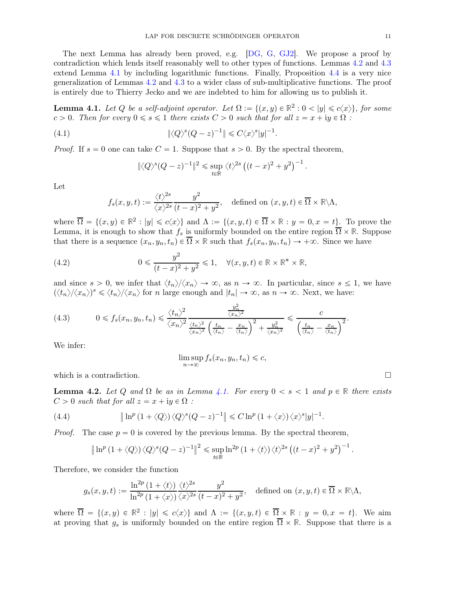The next Lemma has already been proved, e.g. [\[DG,](#page-28-19) [G,](#page-28-12) [GJ2\]](#page-28-4). We propose a proof by contradiction which lends itself reasonably well to other types of functions. Lemmas [4.2](#page-10-0) and [4.3](#page-11-1) extend Lemma [4.1](#page-10-1) by including logarithmic functions. Finally, Proposition [4.4](#page-11-0) is a very nice generalization of Lemmas [4.2](#page-10-0) and [4.3](#page-11-1) to a wider class of sub-multiplicative functions. The proof is entirely due to Thierry Jecko and we are indebted to him for allowing us to publish it.

<span id="page-10-1"></span>**Lemma 4.1.** Let Q be a self-adjoint operator. Let  $\Omega := \{(x, y) \in \mathbb{R}^2 : 0 < |y| \le c\langle x \rangle\}$ , for some c > 0. Then for every  $0 \le s \le 1$  there exists  $C > 0$  such that for all  $z = x + iy \in \Omega$ :

(4.1) 
$$
\|\langle Q\rangle^s(Q-z)^{-1}\| \leq C\langle x\rangle^s|y|^{-1}.
$$

*Proof.* If  $s = 0$  one can take  $C = 1$ . Suppose that  $s > 0$ . By the spectral theorem,

$$
\| \langle Q \rangle^s (Q-z)^{-1} \|^2 \leq \sup_{t \in \mathbb{R}} \langle t \rangle^{2s} \left( (t-x)^2 + y^2 \right)^{-1}.
$$

Let

$$
f_s(x, y, t) := \frac{\langle t \rangle^{2s}}{\langle x \rangle^{2s}} \frac{y^2}{(t - x)^2 + y^2}, \quad \text{defined on } (x, y, t) \in \overline{\Omega} \times \mathbb{R} \backslash \Lambda,
$$

where  $\overline{\Omega} = \{(x, y) \in \mathbb{R}^2 : |y| \leq c\langle x \rangle\}$  and  $\Lambda := \{(x, y, t) \in \overline{\Omega} \times \mathbb{R} : y = 0, x = t\}$ . To prove the Lemma, it is enough to show that  $f_s$  is uniformly bounded on the entire region  $\overline{\Omega} \times \mathbb{R}$ . Suppose that there is a sequence  $(x_n, y_n, t_n) \in \overline{\Omega} \times \mathbb{R}$  such that  $f_s(x_n, y_n, t_n) \to +\infty$ . Since we have

<span id="page-10-2"></span>(4.2) 
$$
0 \leq \frac{y^2}{(t-x)^2 + y^2} \leq 1, \quad \forall (x, y, t) \in \mathbb{R} \times \mathbb{R}^* \times \mathbb{R},
$$

and since  $s > 0$ , we infer that  $\langle t_n \rangle / \langle x_n \rangle \to \infty$ , as  $n \to \infty$ . In particular, since  $s \leq 1$ , we have  $(\langle t_n \rangle / \langle x_n \rangle)^s \le \langle t_n \rangle / \langle x_n \rangle$  for n large enough and  $|t_n| \to \infty$ , as  $n \to \infty$ . Next, we have:

<span id="page-10-3"></span>(4.3) 
$$
0 \le f_s(x_n, y_n, t_n) \le \frac{\langle t_n \rangle^2}{\langle x_n \rangle^2} \frac{\frac{y_n^2}{\langle x_n \rangle^2}}{\frac{\langle t_n \rangle^2}{\langle x_n \rangle^2} \left(\frac{t_n}{\langle t_n \rangle} - \frac{x_n}{\langle t_n \rangle}\right)^2 + \frac{y_n^2}{\langle x_n \rangle^2}} \le \frac{c}{\left(\frac{t_n}{\langle t_n \rangle} - \frac{x_n}{\langle t_n \rangle}\right)^2}.
$$

We infer:

$$
\limsup_{n \to \infty} f_s(x_n, y_n, t_n) \leqslant c,
$$

which is a contradiction.  $\Box$ 

<span id="page-10-0"></span>**Lemma 4.2.** Let Q and  $\Omega$  be as in Lemma [4.1.](#page-10-1) For every  $0 < s < 1$  and  $p \in \mathbb{R}$  there exists  $C > 0$  *such that for all*  $z = x + iy \in \Omega$  *:* 

(4.4) 
$$
\|\ln^p(1+\langle Q\rangle)\langle Q\rangle^s(Q-z)^{-1}\| \leq C\ln^p(1+\langle x\rangle)\langle x\rangle^s|y|^{-1}.
$$

*Proof.* The case  $p = 0$  is covered by the previous lemma. By the spectral theorem,

$$
\|\ln^p(1+\langle Q\rangle)\langle Q\rangle^s(Q-z)^{-1}\|^2\leq \sup_{t\in\mathbb{R}}\ln^{2p}(1+\langle t\rangle)\langle t\rangle^{2s}\left((t-x)^2+y^2\right)^{-1}.
$$

Therefore, we consider the function

$$
g_s(x, y, t) := \frac{\ln^{2p} (1 + \langle t \rangle)}{\ln^{2p} (1 + \langle x \rangle)} \frac{\langle t \rangle^{2s}}{\langle x \rangle^{2s}} \frac{y^2}{(t - x)^2 + y^2}, \text{ defined on } (x, y, t) \in \overline{\Omega} \times \mathbb{R} \backslash \Lambda,
$$

where  $\overline{\Omega} = \{(x, y) \in \mathbb{R}^2 : |y| \leq c\langle x \rangle\}$  and  $\Lambda := \{(x, y, t) \in \overline{\Omega} \times \mathbb{R} : y = 0, x = t\}$ . We aim at proving that  $g_s$  is uniformly bounded on the entire region  $\overline{\Omega} \times \mathbb{R}$ . Suppose that there is a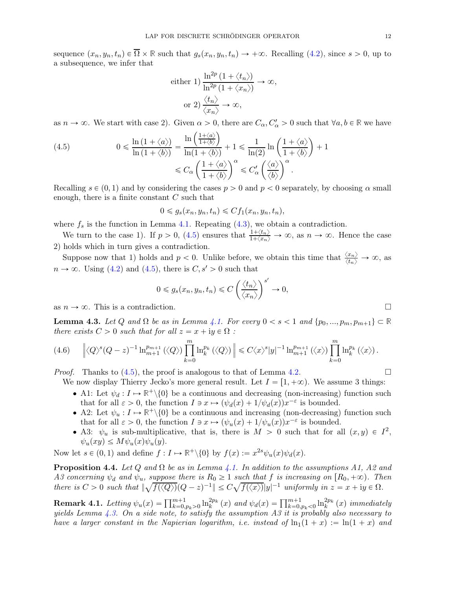sequence  $(x_n, y_n, t_n) \in \overline{\Omega} \times \mathbb{R}$  such that  $g_s(x_n, y_n, t_n) \to +\infty$ . Recalling [\(4.2\)](#page-10-2), since  $s > 0$ , up to a subsequence, we infer that

either 1) 
$$
\frac{\ln^{2p} (1 + \langle t_n \rangle)}{\ln^{2p} (1 + \langle x_n \rangle)} \to \infty,
$$
  
or 2) 
$$
\frac{\langle t_n \rangle}{\langle x_n \rangle} \to \infty,
$$

as  $n \to \infty$ . We start with case 2). Given  $\alpha > 0$ , there are  $C_{\alpha}, C_{\alpha}' > 0$  such that  $\forall a, b \in \mathbb{R}$  we have

<span id="page-11-2"></span>(4.5) 
$$
0 \leqslant \frac{\ln\left(1+\langle a\rangle\right)}{\ln\left(1+\langle b\rangle\right)} = \frac{\ln\left(\frac{1+\langle a\rangle}{1+\langle b\rangle}\right)}{\ln(1+\langle b\rangle)} + 1 \leqslant \frac{1}{\ln(2)}\ln\left(\frac{1+\langle a\rangle}{1+\langle b\rangle}\right) + 1
$$

$$
\leqslant C_{\alpha} \left(\frac{1+\langle a\rangle}{1+\langle b\rangle}\right)^{\alpha} \leqslant C_{\alpha}' \left(\frac{\langle a\rangle}{\langle b\rangle}\right)^{\alpha}.
$$

Recalling  $s \in (0, 1)$  and by considering the cases  $p > 0$  and  $p < 0$  separately, by choosing  $\alpha$  small enough, there is a finite constant  $C$  such that

$$
0 \leqslant g_s(x_n, y_n, t_n) \leqslant C f_1(x_n, y_n, t_n),
$$

where  $f_s$  is the function in Lemma [4.1.](#page-10-1) Repeating [\(4.3\)](#page-10-3), we obtain a contradiction.

We turn to the case 1). If  $p > 0$ , [\(4.5\)](#page-11-2) ensures that  $\frac{1+\langle t_n \rangle}{1+\langle x_n \rangle} \to \infty$ , as  $n \to \infty$ . Hence the case 2) holds which in turn gives a contradiction.

Suppose now that 1) holds and  $p < 0$ . Unlike before, we obtain this time that  $\frac{\langle x_n \rangle}{\langle t_n \rangle} \to \infty$ , as  $n \to \infty$ . Using [\(4.2\)](#page-10-2) and [\(4.5\)](#page-11-2), there is  $C, s' > 0$  such that

$$
0 \leqslant g_s(x_n, y_n, t_n) \leqslant C \left(\frac{\langle t_n \rangle}{\langle x_n \rangle}\right)^{s'} \to 0,
$$

as  $n \to \infty$ . This is a contradiction.

<span id="page-11-1"></span>**Lemma 4.3.** Let Q and  $\Omega$  be as in Lemma [4.1.](#page-10-1) For every  $0 < s < 1$  and  $\{p_0, ..., p_m, p_{m+1}\} \subset \mathbb{R}$ *there exists*  $C > 0$  *such that for all*  $z = x + iy \in \Omega$  *:* 

$$
(4.6) \qquad \Big\| \langle Q \rangle^{s} (Q-z)^{-1} \ln_{m+1}^{p_{m+1}} (\langle Q \rangle) \prod_{k=0}^{m} \ln_{k}^{p_{k}} (\langle Q \rangle) \Big\| \leq C \langle x \rangle^{s} |y|^{-1} \ln_{m+1}^{p_{m+1}} (\langle x \rangle) \prod_{k=0}^{m} \ln_{k}^{p_{k}} (\langle x \rangle).
$$

*Proof.* Thanks to  $(4.5)$ , the proof is analogous to that of Lemma [4.2.](#page-10-0)

We now display Thierry Jecko's more general result. Let  $I = [1, +\infty)$ . We assume 3 things:

- A1: Let  $\psi_d : I \mapsto \mathbb{R}^+ \setminus \{0\}$  be a continuous and decreasing (non-increasing) function such that for all  $\varepsilon > 0$ , the function  $I \ni x \mapsto (\psi_d(x) + 1/\psi_d(x))x^{-\varepsilon}$  is bounded.
- A2: Let  $\psi_u : I \to \mathbb{R}^+ \setminus \{0\}$  be a continuous and increasing (non-decreasing) function such that for all  $\varepsilon > 0$ , the function  $I \ni x \mapsto (\psi_u(x) + 1/\psi_u(x))x^{-\varepsilon}$  is bounded.
- A3:  $\psi_u$  is sub-multiplicative, that is, there is  $M > 0$  such that for all  $(x, y) \in I^2$ ,  $\psi_u(xy) \leq M \psi_u(x) \psi_u(y)$ .

Now let  $s \in (0, 1)$  and define  $f : I \mapsto \mathbb{R}^+ \setminus \{0\}$  by  $f(x) := x^{2s} \psi_u(x) \psi_d(x)$ .

<span id="page-11-0"></span>**Proposition 4.4.** *Let* Q and  $\Omega$  *be as in Lemma [4.1.](#page-10-1) In addition to the assumptions A1, A2 and A3 concerning*  $\psi_d$  *and*  $\psi_u$ *, suppose there is*  $R_0 \geq 1$  *such that* f *is increasing on*  $[R_0, +\infty)$ *. Then there is*  $C > 0$  *such that*  $\|\sqrt{f(\langle Q \rangle)}(Q - z)^{-1}\| \leq C\sqrt{f(\langle x \rangle)}|y|^{-1}$  *uniformly in*  $z = x + iy \in \Omega$ *.* 

**Remark 4.1.** Letting  $\psi_u(x) = \prod_{k=0, p_k > 0}^{m+1} \ln_k^{2p_k}(x)$  and  $\psi_d(x) = \prod_{k=0, p_k < 0}^{m+1} \ln_k^{2p_k}(x)$  immediately *yields Lemma [4.3.](#page-11-1) On a side note, to satisfy the assumption A3 it is probably also necessary to have a larger constant in the Napierian logarithm, i.e. instead of*  $\ln(1 + x) := \ln(1 + x)$  and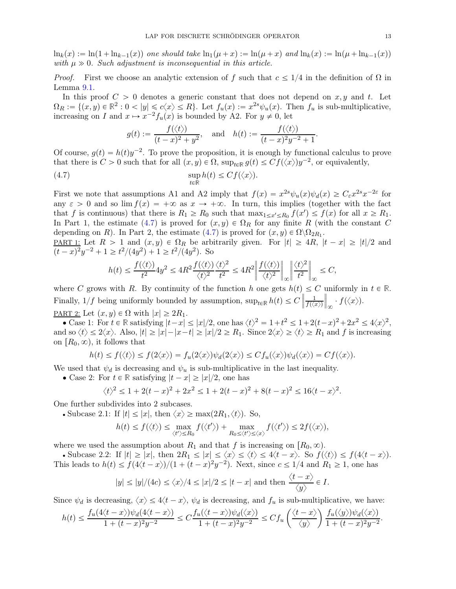$\ln_k(x) := \ln(1 + \ln_{k-1}(x))$  one should take  $\ln_1(\mu + x) := \ln(\mu + x)$  and  $\ln_k(x) := \ln(\mu + \ln_{k-1}(x))$ with  $\mu \gg 0$ . Such adjustment is inconsequential in this article.

*Proof.* First we choose an analytic extension of f such that  $c \leq 1/4$  in the definition of  $\Omega$  in Lemma [9.1.](#page-27-1)

In this proof  $C > 0$  denotes a generic constant that does not depend on x, y and t. Let  $\Omega_R := \{(x, y) \in \mathbb{R}^2 : 0 < |y| \leq c\langle x \rangle \leq R\}.$  Let  $f_u(x) := x^{2s}\psi_u(x)$ . Then  $f_u$  is sub-multiplicative, increasing on I and  $x \mapsto x^{-2}f_u(x)$  is bounded by A2. For  $y \neq 0$ , let

<span id="page-12-0"></span>
$$
g(t) := \frac{f(\langle t \rangle)}{(t-x)^2 + y^2}
$$
, and  $h(t) := \frac{f(\langle t \rangle)}{(t-x)^2y^{-2} + 1}$ .

Of course,  $g(t) = h(t)y^{-2}$ . To prove the proposition, it is enough by functional calculus to prove that there is  $C > 0$  such that for all  $(x, y) \in \Omega$ ,  $\sup_{t \in \mathbb{R}} g(t) \leq C f(\langle x \rangle) y^{-2}$ , or equivalently,

(4.7) 
$$
\sup_{t \in \mathbb{R}} h(t) \leq C f(\langle x \rangle).
$$

First we note that assumptions A1 and A2 imply that  $f(x) = x^{2s}\psi_u(x)\psi_d(x) \geq C_{\varepsilon}x^{2s}x^{-2\varepsilon}$  for any  $\varepsilon > 0$  and so lim  $f(x) = +\infty$  as  $x \to +\infty$ . In turn, this implies (together with the fact that f is continuous) that there is  $R_1 \ge R_0$  such that  $\max_{1 \le x' \le R_0} f(x') \le f(x)$  for all  $x \ge R_1$ . In Part 1, the estimate [\(4.7\)](#page-12-0) is proved for  $(x, y) \in \Omega_R$  for any finite R (with the constant C depending on R). In Part 2, the estimate [\(4.7\)](#page-12-0) is proved for  $(x, y) \in \Omega \setminus \Omega_{2R_1}$ .

PART 1: Let  $R > 1$  and  $(x, y) \in \Omega_R$  be arbitrarily given. For  $|t| \geq 4R$ ,  $|t - x| \geq |t|/2$  and  $(t-x)^2y^{-2} + 1 \ge t^2/(4y^2) + 1 \ge t^2/(4y^2)$ . So

$$
h(t)\leq \frac{f(\langle t\rangle)}{t^2}4y^2\leq 4R^2\frac{f(\langle t\rangle)}{\langle t\rangle^2}\frac{\langle t\rangle^2}{t^2}\leq 4R^2\bigg\|\frac{f(\langle t\rangle)}{\langle t\rangle^2}\bigg\|_\infty\bigg\|\frac{\langle t\rangle^2}{t^2}\bigg\|_\infty\leq C,
$$

where C grows with R. By continuity of the function h one gets  $h(t) \leq C$  uniformly in  $t \in \mathbb{R}$ . Finally,  $1/f$  being uniformly bounded by assumption,  $\sup_{t\in\mathbb{R}} h(t) \leq C$ 1  $\frac{1}{f(\langle x \rangle)} \bigg\|_{\infty} \cdot f(\langle x \rangle).$ PART 2: Let  $(x, y) \in \Omega$  with  $|x| \geq 2R_1$ .

• Case 1: For  $t \in \mathbb{R}$  satisfying  $|t - x| \le |x|/2$ , one has  $\langle t \rangle^2 = 1 + t^2 \le 1 + 2(t - x)^2 + 2x^2 \le 4\langle x \rangle^2$ , and so  $\langle t \rangle \leq 2\langle x \rangle$ . Also,  $|t| \geq |x|-|x-t| \geq |x|/2 \geq R_1$ . Since  $2\langle x \rangle \geq \langle t \rangle \geq R_1$  and f is increasing on  $[R_0, \infty)$ , it follows that

$$
h(t) \le f(\langle t \rangle) \le f(2\langle x \rangle) = f_u(2\langle x \rangle) \psi_d(2\langle x \rangle) \le C f_u(\langle x \rangle) \psi_d(\langle x \rangle) = C f(\langle x \rangle).
$$

We used that  $\psi_d$  is decreasing and  $\psi_u$  is sub-multiplicative in the last inequality.

• Case 2: For  $t \in \mathbb{R}$  satisfying  $|t - x| \ge |x|/2$ , one has

$$
\langle t \rangle^2 \le 1 + 2(t - x)^2 + 2x^2 \le 1 + 2(t - x)^2 + 8(t - x)^2 \le 16\langle t - x \rangle^2.
$$

One further subdivides into 2 subcases.

• Subcase 2.1: If  $|t| \leq |x|$ , then  $\langle x \rangle \geq \max(2R_1, \langle t \rangle)$ . So,

$$
h(t) \leq f(\langle t \rangle) \leq \max_{\langle t' \rangle \leq R_0} f(\langle t' \rangle) + \max_{R_0 \leq \langle t' \rangle \leq \langle x \rangle} f(\langle t' \rangle) \leq 2 f(\langle x \rangle),
$$

where we used the assumption about  $R_1$  and that f is increasing on  $[R_0, \infty)$ .

• Subcase 2.2: If  $|t| \ge |x|$ , then  $2R_1 \le |x| \le \langle x \rangle \le \langle t \rangle \le 4\langle t - x \rangle$ . So  $f(\langle t \rangle) \le f(4\langle t - x \rangle)$ . This leads to  $h(t) \le f(4\langle t-x \rangle)/(1 + (t - x)^2 y^{-2})$ . Next, since  $c \le 1/4$  and  $R_1 \ge 1$ , one has

$$
|y| \le |y|/(4c) \le \langle x \rangle/4 \le |x|/2 \le |t - x|
$$
 and then  $\frac{\langle t - x \rangle}{\langle y \rangle} \in I$ .

Since  $\psi_d$  is decreasing,  $\langle x \rangle \leq 4\langle t - x \rangle$ ,  $\psi_d$  is decreasing, and  $f_u$  is sub-multiplicative, we have:

$$
h(t) \le \frac{f_u(4\langle t-x\rangle)\psi_d(4\langle t-x\rangle)}{1+(t-x)^2y^{-2}} \le C\frac{f_u(\langle t-x\rangle)\psi_d(\langle x\rangle)}{1+(t-x)^2y^{-2}} \le Cf_u\left(\frac{\langle t-x\rangle}{\langle y\rangle}\right)\frac{f_u(\langle y\rangle)\psi_d(\langle x\rangle)}{1+(t-x)^2y^{-2}}.
$$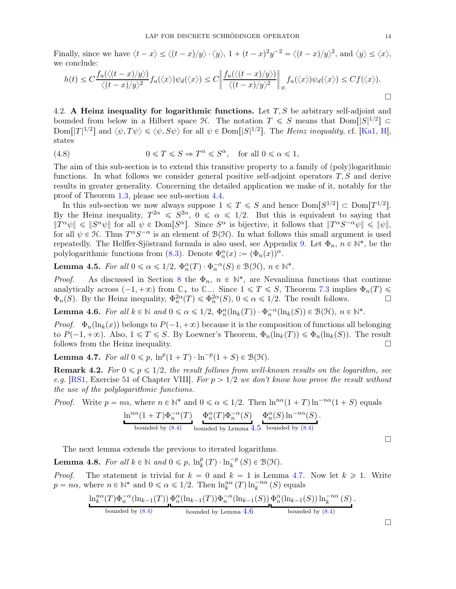Finally, since we have  $\langle t - x \rangle \le \langle (t - x)/y \rangle \cdot \langle y \rangle$ ,  $1 + (t - x)^2 y^{-2} = \langle (t - x)/y \rangle^2$ , and  $\langle y \rangle \le \langle x \rangle$ , we conclude:

$$
h(t) \le C \frac{f_u(\langle (t-x)/y \rangle)}{\langle (t-x)/y \rangle^2} f_u(\langle x \rangle) \psi_d(\langle x \rangle) \le C \left\| \frac{f_u(\langle (t-x)/y \rangle)}{\langle (t-x)/y \rangle^2} \right\|_{\infty} f_u(\langle x \rangle) \psi_d(\langle x \rangle) \le C f(\langle x \rangle).
$$

<span id="page-13-4"></span>4.2. A Heinz inequality for logarithmic functions. Let  $T, S$  be arbitrary self-adjoint and bounded from below in a Hilbert space  $\mathcal{H}$ . The notation  $T \leq S$  means that  $\text{Dom}([S]^{1/2}] \subset$  $\text{Dom}[|T|^{1/2}]$  and  $\langle \psi, T\psi \rangle \leq \langle \psi, S\psi \rangle$  for all  $\psi \in \text{Dom}[|S|^{1/2}]$ . The *Heinz inequality*, cf. [\[Ka1,](#page-28-20) [H\]](#page-28-21), states

<span id="page-13-5"></span>(4.8) 
$$
0 \leq T \leq S \Rightarrow T^{\alpha} \leq S^{\alpha}, \text{ for all } 0 \leq \alpha \leq 1,
$$

The aim of this sub-section is to extend this transitive property to a family of (poly)logarithmic functions. In what follows we consider general positive self-adjoint operators  $T, S$  and derive results in greater generality. Concerning the detailed application we make of it, notably for the proof of Theorem [1.3,](#page-3-1) please see sub-section [4.4.](#page-16-1)

In this sub-section we now always suppose  $1 \leq T \leq S$  and hence  $Dom[S^{1/2}] \subset Dom[T^{1/2}]$ . By the Heinz inequality,  $T^{2\alpha} \leq S^{2\alpha}$ ,  $0 \leq \alpha \leq 1/2$ . But this is equivalent to saying that  $||T^{\alpha}\psi|| \le ||S^{\alpha}\psi||$  for all  $\psi \in \text{Dom}[S^{\alpha}]$ . Since  $S^{\alpha}$  is bijective, it follows that  $||T^{\alpha}S^{-\alpha}\psi|| \le ||\psi||$ , for all  $\psi \in \mathcal{H}$ . Thus  $T^{\alpha}S^{-\alpha}$  is an element of  $\mathcal{B}(\mathcal{H})$ . In what follows this small argument is used repeatedly. The Helffer-Sjöstrand formula is also used, see Appendix [9.](#page-27-0) Let  $\Phi_n$ ,  $n \in \mathbb{N}^*$ , be the polylogarithmic functions from [\(8.3\)](#page-26-0). Denote  $\Phi_n^{\alpha}(x) := (\Phi_n(x))^{\alpha}$ .

<span id="page-13-0"></span>**Lemma 4.5.** *For all*  $0 \le \alpha \le 1/2$ ,  $\Phi_n^{\alpha}(T) \cdot \Phi_n^{-\alpha}(S) \in \mathcal{B}(\mathcal{H})$ ,  $n \in \mathbb{N}^*$ .

*Proof.* As discussed in Section [8](#page-25-0) the  $\Phi_n$ ,  $n \in \mathbb{N}^*$ , are Nevanlinna functions that continue analytically across  $(-1, +\infty)$  from  $\mathbb{C}_+$  to  $\mathbb{C}_-$ . Since  $1 \le T \le S$ , Theorem [7.3](#page-24-0) implies  $\Phi_n(T) \le \Phi_n(S)$ . By the Heinz inequality,  $\Phi_n^{2\alpha}(T) \le \Phi_n^{2\alpha}(S)$ ,  $0 \le \alpha \le 1/2$ . The result follows.  $\Phi_n(S)$ . By the Heinz inequality,  $\Phi_n^{2\alpha}(T) \leq \Phi_n^{2\alpha}(S)$ ,  $0 \leq \alpha \leq 1/2$ . The result follows.

<span id="page-13-2"></span>**Lemma 4.6.** For all  $k \in \mathbb{N}$  and  $0 \le \alpha \le 1/2$ ,  $\Phi_n^{\alpha}(\ln_k(T)) \cdot \Phi_n^{-\alpha}(\ln_k(S)) \in \mathcal{B}(\mathcal{H})$ ,  $n \in \mathbb{N}^*$ .

*Proof.*  $\Phi_n(\ln_k(x))$  belongs to  $P(-1, +\infty)$  because it is the composition of functions all belonging to  $P(-1, +\infty)$ . Also,  $1 \le T \le S$ . By Loewner's Theorem,  $\Phi_n(\ln_k(T)) \le \Phi_n(\ln_k(S))$ . The result follows from the Heinz inequality. follows from the Heinz inequality.

<span id="page-13-1"></span>**Lemma 4.7.** *For all*  $0 \leq p$ ,  $\ln^p(1+T) \cdot \ln^{-p}(1+S) \in \mathcal{B}(\mathcal{H})$ .

**Remark 4.2.** For  $0 \leq p \leq 1/2$ , the result follows from well-known results on the logarithm, see *e.g.* [\[RS1,](#page-29-18) Exercise 51 of Chapter VIII]. For  $p > 1/2$  we don't know how prove the result without *the use of the polylogarithmic functions.*

*Proof.* Write  $p = n\alpha$ , where  $n \in \mathbb{N}^*$  and  $0 \le \alpha \le 1/2$ . Then  $\ln^{n\alpha}(1+T)\ln^{-n\alpha}(1+S)$  equals

$$
\frac{\ln^{n\alpha}(1+T)\Phi_n^{-\alpha}(T)}{\text{bounded by (8.4)}} \frac{\Phi_n^{\alpha}(T)\Phi_n^{-\alpha}(S)}{\text{bounded by Lemma 4.5 bounded by (8.4)}} \frac{\Phi_n^{\alpha}(S)\ln^{-n\alpha}(S)}{\text{bounded by (8.4)}}.
$$

The next lemma extends the previous to iterated logarithms.

<span id="page-13-3"></span>**Lemma 4.8.** For all  $k \in \mathbb{N}$  and  $0 \leq p$ ,  $\ln_k^p(T) \cdot \ln_k^{-p}(S) \in \mathcal{B}(\mathcal{H})$ .

*Proof.* The statement is trivial for  $k = 0$  and  $k = 1$  is Lemma [4.7.](#page-13-1) Now let  $k \ge 1$ . Write  $p = n\alpha$ , where  $n \in \mathbb{N}^*$  and  $0 \le \alpha \le 1/2$ . Then  $\ln_k^{n\alpha}(T) \ln_k^{-n\alpha}(S)$  equals

$$
\frac{\ln_k^{n\alpha}(T)\Phi_n^{-\alpha}(\ln_{k-1}(T))\Phi_n^{\alpha}(\ln_{k-1}(T))\Phi_n^{-\alpha}(\ln_{k-1}(S))\Phi_n^{\alpha}(\ln_{k-1}(S))\ln_k^{-n\alpha}(S)}{\text{bounded by (8.4)}}.
$$

 $\Box$ 

 $\Box$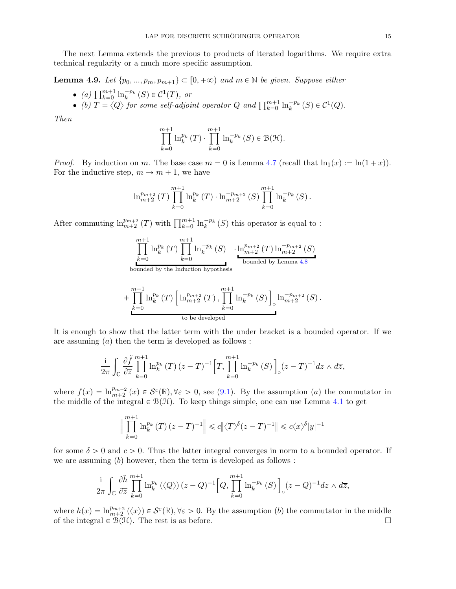The next Lemma extends the previous to products of iterated logarithms. We require extra technical regularity or a much more specific assumption.

<span id="page-14-0"></span>**Lemma 4.9.** *Let*  $\{p_0, ..., p_m, p_{m+1}\} \subset [0, +\infty)$  *and*  $m \in \mathbb{N}$  *be given. Suppose either* 

- *(a)*  $\prod_{k=0}^{m+1} \ln_k^{-p_k} (S) \in C^1(T)$ , or
- (b)  $T = \langle Q \rangle$  *for some self-adjoint operator*  $Q$  *and*  $\prod_{k=0}^{m+1} \ln_k^{-p_k} (S) \in C^1(Q)$ .

*Then*

$$
\prod_{k=0}^{m+1} \ln_k^{p_k}(T) \cdot \prod_{k=0}^{m+1} \ln_k^{-p_k}(S) \in \mathcal{B}(\mathcal{H}).
$$

*Proof.* By induction on m. The base case  $m = 0$  is Lemma [4.7](#page-13-1) (recall that  $\ln_1(x) := \ln(1 + x)$ ). For the inductive step,  $m \to m + 1$ , we have

$$
\ln_{m+2}^{p_{m+2}}(T)\prod_{k=0}^{m+1}\ln_{k}^{p_{k}}(T)\cdot\ln_{m+2}^{-p_{m+2}}(S)\prod_{k=0}^{m+1}\ln_{k}^{-p_{k}}(S).
$$

After commuting  $\ln_{m+2}^{p_{m+2}}(T)$  with  $\prod_{k=0}^{m+1} \ln_k^{-p_k}(S)$  this operator is equal to :

$$
\prod_{k=0}^{m+1} \ln_k^{p_k}(T) \prod_{k=0}^{m+1} \ln_k^{-p_k}(S) \qquad \frac{\ln_{m+2}^{p_{m+2}}(T) \ln_{m+2}^{-p_{m+2}}(S)}{\text{bounded by Lemma 4.8}}
$$

bounded by the Induction hypothesis

+ 
$$
\prod_{k=0}^{m+1} \ln_k^{p_k}(T) \left[ \ln_{m+2}^{p_{m+2}}(T), \prod_{k=0}^{m+1} \ln_k^{-p_k}(S) \right]_0 \ln_{m+2}^{-p_{m+2}}(S).
$$
  
to be developed

It is enough to show that the latter term with the under bracket is a bounded operator. If we are assuming  $(a)$  then the term is developed as follows :

$$
\frac{\mathrm{i}}{2\pi} \int_{\mathbb{C}} \frac{\partial \tilde{f}}{\partial \overline{z}} \prod_{k=0}^{m+1} \ln_k^{p_k} (T) \, (z-T)^{-1} \Big[ T, \prod_{k=0}^{m+1} \ln_k^{-p_k} (S) \, \Big]_{\circ} (z-T)^{-1} dz \wedge d\overline{z},
$$

where  $f(x) = \ln_{m+2}^{p_{m+2}} (x) \in \mathcal{S}^{\varepsilon}(\mathbb{R}), \forall \varepsilon > 0$ , see [\(9.1\)](#page-27-3). By the assumption (*a*) the commutator in the middle of the integral  $\in \mathcal{B}(\mathcal{H})$ . To keep things simple, one can use Lemma [4.1](#page-10-1) to get

$$
\Big\| \prod_{k=0}^{m+1} \ln_k^{p_k} (T) (z - T)^{-1} \Big\| \leq c \|\langle T \rangle^{\delta} (z - T)^{-1} \|\leq c \langle x \rangle^{\delta} |y|^{-1}
$$

for some  $\delta > 0$  and  $c > 0$ . Thus the latter integral converges in norm to a bounded operator. If we are assuming  $(b)$  however, then the term is developed as follows :

$$
\frac{\mathrm{i}}{2\pi} \int_{\mathbb{C}} \frac{\partial \tilde{h}}{\partial \overline{z}} \prod_{k=0}^{m+1} \ln_k^{p_k} \left( \langle Q \rangle \right) (z - Q)^{-1} \Big[ Q, \prod_{k=0}^{m+1} \ln_k^{-p_k} \left( S \right) \Big]_{\circ} (z - Q)^{-1} dz \wedge d\overline{z},
$$

where  $h(x) = \ln_{m+2}^{p_{m+2}} (\langle x \rangle) \in \mathcal{S}^{\varepsilon}(\mathbb{R}), \forall \varepsilon > 0$ . By the assumption (b) the commutator in the middle of the integral  $\in \mathcal{B}(\mathcal{H})$ . The rest is as before.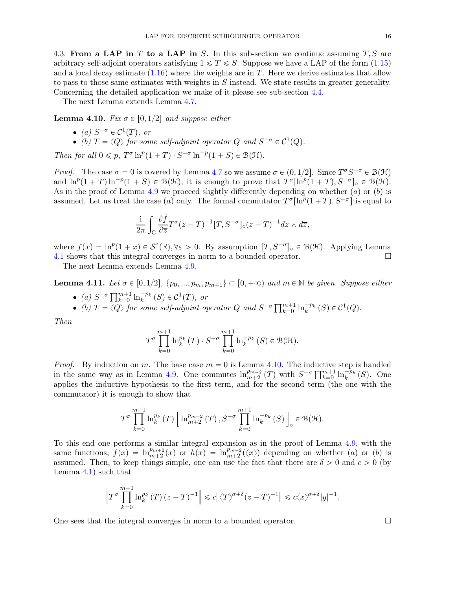<span id="page-15-2"></span>4.3. From a LAP in T to a LAP in S. In this sub-section we continue assuming  $T, S$  are arbitrary self-adjoint operators satisfying  $1 \le T \le S$ . Suppose we have a LAP of the form [\(1.15\)](#page-3-2) and a local decay estimate  $(1.16)$  where the weights are in T. Here we derive estimates that allow to pass to those same estimates with weights in  $S$  instead. We state results in greater generality. Concerning the detailed application we make of it please see sub-section [4.4.](#page-16-1)

The next Lemma extends Lemma [4.7.](#page-13-1)

<span id="page-15-1"></span>**Lemma 4.10.** *Fix*  $\sigma \in [0, 1/2]$  *and suppose either* 

- (a)  $S^{-\sigma} \in \mathcal{C}^1(T)$ , or
- (b)  $T = \langle Q \rangle$  *for some self-adjoint operator*  $Q$  *and*  $S^{-\sigma} \in C^1(Q)$ .

*Then for all*  $0 \leq p$ ,  $T^{\sigma} \ln^p(1+T) \cdot S^{-\sigma} \ln^{-p}(1+S) \in \mathcal{B}(\mathcal{H})$ .

*Proof.* The case  $\sigma = 0$  is covered by Lemma [4.7](#page-13-1) so we assume  $\sigma \in (0, 1/2]$ . Since  $T^{\sigma}S^{-\sigma} \in \mathcal{B}(\mathcal{H})$ and  $\ln^p(1+T)\ln^{-p}(1+S) \in \mathcal{B}(\mathcal{H})$ , it is enough to prove that  $T^{\sigma}[\ln^p(1+T), S^{-\sigma}]_0 \in \mathcal{B}(\mathcal{H})$ . As in the proof of Lemma [4.9](#page-14-0) we proceed slightly differently depending on whether  $(a)$  or  $(b)$  is assumed. Let us treat the case (*a*) only. The formal commutator  $T^{\sigma}[\ln^p(1+T), S^{-\sigma}]$  is equal to

$$
\frac{\mathrm{i}}{2\pi} \int_{\mathbb{C}} \frac{\partial \tilde{f}}{\partial \overline{z}} T^{\sigma} (z-T)^{-1} [T, S^{-\sigma}]_{\circ} (z-T)^{-1} dz \wedge d\overline{z},
$$

where  $f(x) = \ln^p(1+x) \in \mathcal{S}^{\varepsilon}(\mathbb{R}), \forall \varepsilon > 0$ . By assumption  $[T, S^{-\sigma}]_{0} \in \mathcal{B}(\mathcal{H})$ . Applying Lemma [4.1](#page-10-1) shows that this integral converges in norm to a bounded operator.

The next Lemma extends Lemma [4.9.](#page-14-0)

<span id="page-15-0"></span>**Lemma 4.11.** Let  $\sigma \in [0, 1/2], \{p_0, ..., p_m, p_{m+1}\} \subset [0, +\infty)$  and  $m \in \mathbb{N}$  be given. Suppose either

- (a)  $S^{-\sigma} \prod_{k=0}^{m+1} \ln_k^{-p_k} (S) \in C^1(T)$ , or
- (b)  $T = \langle Q \rangle$  for some self-adjoint operator  $Q$  and  $S^{-\sigma} \prod_{k=0}^{m+1} \ln_k^{-p_k} (S) \in C^1(Q)$ .

*Then*

$$
T^{\sigma} \prod_{k=0}^{m+1} \ln_k^{p_k}(T) \cdot S^{-\sigma} \prod_{k=0}^{m+1} \ln_k^{-p_k}(S) \in \mathcal{B}(\mathcal{H}).
$$

*Proof.* By induction on m. The base case  $m = 0$  is Lemma [4.10.](#page-15-1) The inductive step is handled in the same way as in Lemma [4.9.](#page-14-0) One commutes  $\ln_{m+2}^{p_{m+2}}(T)$  with  $S^{-\sigma}\prod_{k=0}^{m+1}\ln_k^{-p_k}(S)$ . One applies the inductive hypothesis to the first term, and for the second term (the one with the commutator) it is enough to show that

$$
T^{\sigma} \prod_{k=0}^{m+1} \ln_k^{p_k}(T) \left[ \ln_{m+2}^{p_{m+2}}(T), S^{-\sigma} \prod_{k=0}^{m+1} \ln_k^{-p_k}(S) \right]_{\circ} \in \mathcal{B}(\mathcal{H}).
$$

To this end one performs a similar integral expansion as in the proof of Lemma [4.9,](#page-14-0) with the same functions,  $f(x) = \ln_{m+2}^{p_{m+2}}(x)$  or  $h(x) = \ln_{m+2}^{p_{m+2}}(\langle x \rangle)$  depending on whether (*a*) or (*b*) is assumed. Then, to keep things simple, one can use the fact that there are  $\delta > 0$  and  $c > 0$  (by Lemma [4.1\)](#page-10-1) such that

$$
\left\|T^{\sigma}\prod_{k=0}^{m+1}\ln_k^{p_k}(T)\left(z-T\right)^{-1}\right\|\leqslant c\big\|\langle T\rangle^{\sigma+\delta}(z-T)^{-1}\big\|\leqslant c\langle x\rangle^{\sigma+\delta}|y|^{-1}.
$$

One sees that the integral converges in norm to a bounded operator.  $\Box$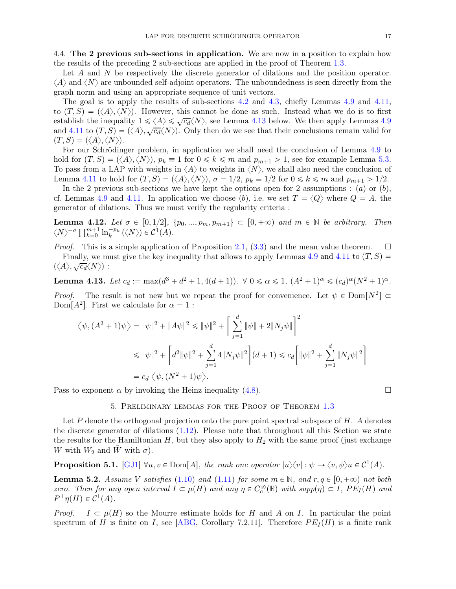<span id="page-16-1"></span>4.4. The 2 previous sub-sections in application. We are now in a position to explain how the results of the preceding 2 sub-sections are applied in the proof of Theorem [1.3.](#page-3-1)

Let A and N be respectively the discrete generator of dilations and the position operator.  $\langle A \rangle$  and  $\langle N \rangle$  are unbounded self-adjoint operators. The unboundedness is seen directly from the graph norm and using an appropriate sequence of unit vectors.

The goal is to apply the results of sub-sections [4.2](#page-13-4) and [4.3,](#page-15-2) chiefly Lemmas [4.9](#page-14-0) and [4.11,](#page-15-0) to  $(T, S) = (\langle A \rangle, \langle N \rangle)$ . However, this cannot be done as such. Instead what we do is to first establish the inequality  $1 \le \langle A \rangle \le \sqrt{c_d} \langle N \rangle$ , see Lemma [4.13](#page-16-2) below. We then apply Lemmas [4.9](#page-14-0) and [4.11](#page-15-0) to  $(T, S) = (\langle A \rangle, \sqrt{c_d} \langle N \rangle)$ . Only then do we see that their conclusions remain valid for  $(T, S) = (\langle A \rangle, \langle N \rangle).$ 

For our Schrödinger problem, in application we shall need the conclusion of Lemma [4.9](#page-14-0) to hold for  $(T, S) = \langle \langle A \rangle, \langle N \rangle \rangle$ ,  $p_k \equiv 1$  for  $0 \le k \le m$  and  $p_{m+1} > 1$ , see for example Lemma [5.3.](#page-17-0) To pass from a LAP with weights in  $\langle A \rangle$  to weights in  $\langle N \rangle$ , we shall also need the conclusion of Lemma [4.11](#page-15-0) to hold for  $(T, S) = (\langle A \rangle, \langle N \rangle), \sigma = 1/2, p_k \equiv 1/2$  for  $0 \le k \le m$  and  $p_{m+1} > 1/2$ .

In the 2 previous sub-sections we have kept the options open for 2 assumptions : (a) or (b), cf. Lemmas [4.9](#page-14-0) and [4.11.](#page-15-0) In application we choose (b), i.e. we set  $T = \langle Q \rangle$  where  $Q = A$ , the generator of dilations. Thus we must verify the regularity criteria :

**Lemma 4.12.** Let  $\sigma \in [0, 1/2], \{p_0, ..., p_m, p_{m+1}\} \subset [0, +\infty)$  and  $m \in \mathbb{N}$  be arbitrary. Then  $\langle N \rangle^{-\sigma} \prod_{k=0}^{m+1} \ln_k^{-p_k} (\langle N \rangle) \in \mathcal{C}^1(\tilde{A}).$ 

*Proof.* This is a simple application of Proposition [2.1,](#page-6-3) [\(3.3\)](#page-8-0) and the mean value theorem.  $\square$ Finally, we must give the key inequality that allows to apply Lemmas [4.9](#page-14-0) and [4.11](#page-15-0) to  $(T, S)$  $(\langle A \rangle, \sqrt{c_d} \langle N \rangle)$ :

<span id="page-16-2"></span>Lemma 4.13. Let  $c_d := \max(d^3 + d^2 + 1, 4(d+1))$ .  $\forall$   $0 \le \alpha \le 1$ ,  $(A^2 + 1)^{\alpha} \le (c_d)^{\alpha}(N^2 + 1)^{\alpha}$ .

*Proof.* The result is not new but we repeat the proof for convenience. Let  $\psi \in \text{Dom}[N^2] \subset$ Dom[ $A^2$ ]. First we calculate for  $\alpha = 1$ :

$$
\langle \psi, (A^2 + 1)\psi \rangle = \|\psi\|^2 + \|A\psi\|^2 \le \|\psi\|^2 + \left[\sum_{j=1}^d \|\psi\| + 2\|N_j\psi\|\right]^2
$$
  

$$
\le \|\psi\|^2 + \left[d^2\|\psi\|^2 + \sum_{j=1}^d 4\|N_j\psi\|^2\right](d+1) \le c_d \left[\|\psi\|^2 + \sum_{j=1}^d \|N_j\psi\|^2\right]
$$
  

$$
= c_d \langle \psi, (N^2 + 1)\psi \rangle.
$$

<span id="page-16-0"></span>Pass to exponent  $\alpha$  by invoking the Heinz inequality [\(4.8\)](#page-13-5).

## 5. Preliminary lemmas for the Proof of Theorem [1.3](#page-3-1)

Let  $P$  denote the orthogonal projection onto the pure point spectral subspace of  $H$ . A denotes the discrete generator of dilations [\(1.12\)](#page-2-4). Please note that throughout all this Section we state the results for the Hamiltonian  $H$ , but they also apply to  $H_2$  with the same proof (just exchange W with  $W_2$  and W with  $\sigma$ ).

<span id="page-16-3"></span>**Proposition 5.1.** [\[GJ1\]](#page-28-13)  $\forall u, v \in \text{Dom}[A]$ , the rank one operator  $|u\rangle\langle v| : \psi \to \langle v, \psi \rangle u \in C^1(A)$ .

<span id="page-16-4"></span>**Lemma 5.2.** *Assume V satisfies* [\(1.10\)](#page-2-1) *and* [\(1.11\)](#page-2-0) *for some*  $m \in \mathbb{N}$ *, and*  $r, q \in [0, +\infty)$  *not both zero.* Then for any open interval  $I \subset \mu(H)$  and any  $\eta \in C_c^{\infty}(\mathbb{R})$  with  $supp(\eta) \subset I$ ,  $PE_I(H)$  and  $P^{\perp}\eta(H) \in \mathcal{C}^1(A).$ 

*Proof.*  $I \subset \mu(H)$  so the Mourre estimate holds for H and A on I. In particular the point spectrum of H is finite on I, see [\[ABG,](#page-28-1) Corollary 7.2.11]. Therefore  $PE_I(H)$  is a finite rank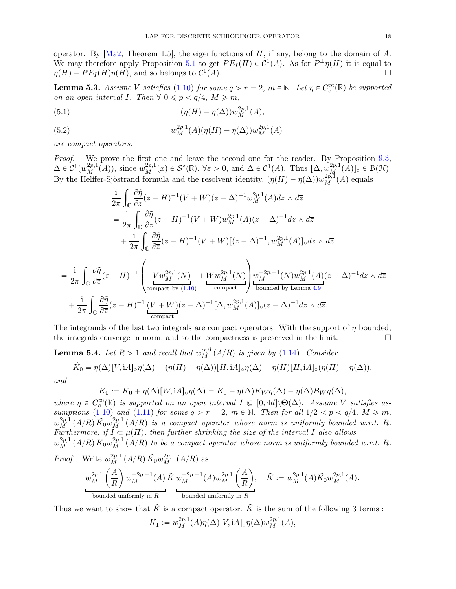operator. By  $[Ma2, Theorem 1.5]$ , the eigenfunctions of H, if any, belong to the domain of A. We may therefore apply Proposition [5.1](#page-16-3) to get  $PE_I(H) \in C^1(A)$ . As for  $P^{\perp}\eta(H)$  it is equal to  $\eta(H) - PE_I(H)\eta(H)$ , and so belongs to  $\mathcal{C}^1$  $(A)$ .

<span id="page-17-0"></span>**Lemma 5.3.** *Assume* V *satisfies* [\(1.10\)](#page-2-1) *for some*  $q > r = 2$ ,  $m \in \mathbb{N}$ *. Let*  $\eta \in C_c^{\infty}(\mathbb{R})$  *be supported on an open interval I. Then*  $\forall$  0  $\leq$  *p*  $\lt$  *q*/4*, M*  $\geq$  *m,* 

<span id="page-17-2"></span>(5.1) 
$$
(\eta(H) - \eta(\Delta))w_M^{2p,1}(A),
$$

<span id="page-17-1"></span>(5.2) 
$$
w_M^{2p,1}(A)(\eta(H) - \eta(\Delta))w_M^{2p,1}(A)
$$

*are compact operators.*

*Proof.* We prove the first one and leave the second one for the reader. By Proposition [9.3,](#page-27-4)  $\Delta \in C^1(w_M^{2p,1}(A)),$  since  $w_M^{2p,1}(x) \in \mathcal{S}^{\varepsilon}(\mathbb{R}), \forall \varepsilon > 0$ , and  $\Delta \in C^1(A)$ . Thus  $[\Delta, w_M^{2p,1}(A)]_{\circ} \in \mathcal{B}(\mathcal{H})$ . By the Helffer-Sjöstrand formula and the resolvent identity,  $(\eta(H) - \eta(\Delta))w_M^{2p,1}(A)$  equals

$$
\frac{i}{2\pi} \int_{\mathbb{C}} \frac{\partial \tilde{\eta}}{\partial \overline{z}} (z - H)^{-1} (V + W)(z - \Delta)^{-1} w_M^{2p,1}(A) dz \wedge d\overline{z}
$$
\n
$$
= \frac{i}{2\pi} \int_{\mathbb{C}} \frac{\partial \tilde{\eta}}{\partial \overline{z}} (z - H)^{-1} (V + W) w_M^{2p,1}(A) (z - \Delta)^{-1} dz \wedge d\overline{z}
$$
\n
$$
+ \frac{i}{2\pi} \int_{\mathbb{C}} \frac{\partial \tilde{\eta}}{\partial \overline{z}} (z - H)^{-1} (V + W) [(z - \Delta)^{-1}, w_M^{2p,1}(A)]_{\circ} dz \wedge d\overline{z}
$$
\n
$$
= \frac{i}{2\pi} \int_{\mathbb{C}} \frac{\partial \tilde{\eta}}{\partial \overline{z}} (z - H)^{-1} \left( \frac{V w_M^{2p,1}(N)}{\text{compact by (1.10)}} + \frac{W w_M^{2p,1}(N)}{\text{compact}} \right) \frac{w_M^{-2p,1}(N) w_M^{2p,1}(A) (z - \Delta)^{-1} dz \wedge d\overline{z}
$$
\n
$$
+ \frac{i}{2\pi} \int_{\mathbb{C}} \frac{\partial \tilde{\eta}}{\partial \overline{z}} (z - H)^{-1} \frac{(V + W)(z - \Delta)^{-1} [\Delta, w_M^{2p,1}(A)]_{\circ} (z - \Delta)^{-1} dz \wedge d\overline{z}.
$$

The integrands of the last two integrals are compact operators. With the support of  $\eta$  bounded, the integrals converge in norm, and so the compactness is preserved in the limit.  $\Box$ 

<span id="page-17-3"></span>**Lemma 5.4.** *Let*  $R > 1$  *and recall that*  $w_M^{\alpha,\beta}(A/R)$  *is given by* [\(1.14\)](#page-3-4)*. Consider* 

$$
\tilde{K}_0 = \eta(\Delta)[V, iA]_{\circ}\eta(\Delta) + (\eta(H) - \eta(\Delta))[H, iA]_{\circ}\eta(\Delta) + \eta(H)[H, iA]_{\circ}(\eta(H) - \eta(\Delta)),
$$

*and*

$$
K_0 := \tilde{K}_0 + \eta(\Delta)[W, iA] \cdot \eta(\Delta) = \tilde{K}_0 + \eta(\Delta)K_W \eta(\Delta) + \eta(\Delta)B_W \eta(\Delta),
$$

 $where \eta \in C_c^{\infty}(\mathbb{R})$  is supported on an open interval  $I \in [0, 4d] \setminus \Theta(\Delta)$ . Assume V satisfies as*sumptions* [\(1.10\)](#page-2-1) *and* [\(1.11\)](#page-2-0) *for some*  $q > r = 2$ ,  $m \in \mathbb{N}$ *. Then for all*  $1/2 < p < q/4$ ,  $M \ge m$ ,  $w_M^{2p,1}(A/R)\tilde{K}_0w_M^{2p,1}(A/R)$  is a compact operator whose norm is uniformly bounded w.r.t. R. *Furthermore, if*  $I \subseteq \mu(H)$ *, then further shrinking the size of the interval* I also allows  $w_M^{2p,1}(A/R) K_0w_M^{2p,1}(A/R)$  to be a compact operator whose norm is uniformly bounded w.r.t. R. *Proof.* Write  $w_M^{2p,1}(A/R) \tilde{K}_0 w_M^{2p,1}(A/R)$  as  $w_M^{2p,1}$ M  $\int A$ R  $\bigg(w_M^{-2p,-1}(A)$ bounded uniformly in R  $\tilde{K} w_M^{-2p,-1}(A) w_M^{2p,1}$ M  $\int A$ R ˙ bounded uniformly in R  $\tilde{K} := w_M^{2p,1}(A) \tilde{K_0} w_M^{2p,1}(A).$ Thus we want to show that  $\tilde{K}$  is a compact operator.  $\tilde{K}$  is the sum of the following 3 terms :

$$
\tilde{K_1} := w_M^{2p,1}(A)\eta(\Delta)[V, iA]_{\circ}\eta(\Delta)w_M^{2p,1}(A),
$$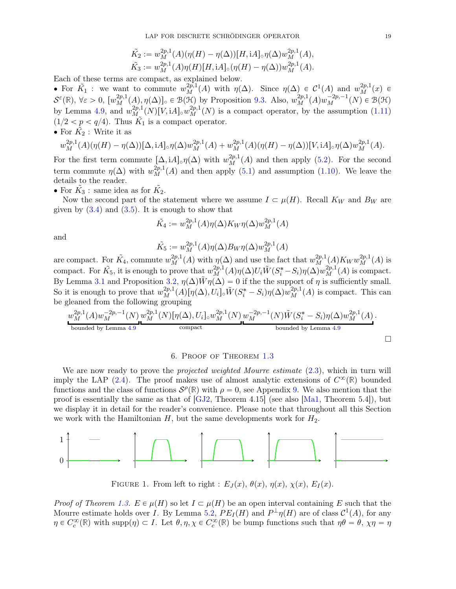$$
\tilde{K_2} := w_M^{2p,1}(A)(\eta(H) - \eta(\Delta))[H, iA]_{\circ}\eta(\Delta)w_M^{2p,1}(A),\n\tilde{K_3} := w_M^{2p,1}(A)\eta(H)[H, iA]_{\circ}(\eta(H) - \eta(\Delta))w_M^{2p,1}(A).
$$

Each of these terms are compact, as explained below.

• For  $\tilde{K}_1$  : we want to commute  $w_M^{2p,1}(A)$  with  $\eta(\Delta)$ . Since  $\eta(\Delta) \in C^1(A)$  and  $w_M^{2p,1}(x) \in$  $\mathcal{S}^{\varepsilon}(\mathbb{R}), \ \forall \varepsilon > 0, \ [w_M^{2p,1}(A), \eta(\Delta)]_0 \in \mathcal{B}(\mathcal{H})$  by Proposition [9.3.](#page-27-4) Also,  $w_M^{2p,1}(A)w_M^{-2p,-1}(N) \in \mathcal{B}(\mathcal{H})$ by Lemma [4.9,](#page-14-0) and  $w_{M_{\infty}}^{2p,1}(N)[V, iA]_{\infty}w_M^{2p,1}(N)$  is a compact operator, by the assumption [\(1.11\)](#page-2-0)  $(1/2 < p < q/4)$ . Thus  $\tilde{K}_1$  is a compact operator. • For  $\tilde{K_2}$ : Write it as

$$
w_M^{2p,1}(A)(\eta(H)-\eta(\Delta))[\Delta,\mathrm{i}A]_\circ\eta(\Delta)w_M^{2p,1}(A)+w_M^{2p,1}(A)(\eta(H)-\eta(\Delta))[V,\mathrm{i}A]_\circ\eta(\Delta)w_M^{2p,1}(A).
$$

For the first term commute  $[\Delta, iA] \circ \eta(\Delta)$  with  $w_M^{2p,1}(A)$  and then apply [\(5.2\)](#page-17-1). For the second term commute  $\eta(\Delta)$  with  $w_M^{2p,1}(A)$  and then apply [\(5.1\)](#page-17-2) and assumption [\(1.10\)](#page-2-1). We leave the details to the reader.

• For  $\tilde{K}_3$ : same idea as for  $\tilde{K}_2$ .

Now the second part of the statement where we assume  $I \subset \mu(H)$ . Recall  $K_W$  and  $B_W$  are given by  $(3.4)$  and  $(3.5)$ . It is enough to show that

$$
\tilde{K_4} := w_M^{2p,1}(A)\eta(\Delta)K_W\eta(\Delta)w_M^{2p,1}(A)
$$

and

$$
\tilde{K_5}:=w^{2p,1}_M(A)\eta(\Delta)B_W\eta(\Delta)w^{2p,1}_M(A)
$$

are compact. For  $\tilde{K_4}$ , commute  $w_M^{2p,1}(A)$  with  $\eta(\Delta)$  and use the fact that  $w_M^{2p,1}(A)K_W w_M^{2p,1}(A)$  is compact. For  $\tilde{K_5}$ , it is enough to prove that  $w_M^{2p,1}(A)\eta(\Delta)U_i\tilde{W}(S_i^*-S_i)\eta(\Delta)w_M^{2p,1}(A)$  is compact. By Lemma [3.1](#page-8-3) and Proposition [3.2,](#page-9-3)  $\eta(\Delta)\tilde{W}\eta(\Delta) = 0$  if the the support of  $\eta$  is sufficiently small. So it is enough to prove that  $w_M^{2p,1}(A)[\eta(\Delta), U_i] \circ \tilde{W}(S_i^* - S_i)\eta(\Delta)w_M^{2p,1}(A)$  is compact. This can be gleaned from the following grouping

$$
\underbrace{w_M^{2p,1}(A)w_M^{-2p,-1}(N)}_{\text{bounded by Lemma 4.9}} w_M^{2p,1}(N)[\eta(\Delta), U_i]_{\circ} w_M^{2p,1}(N) w_M^{-2p,-1}(N)\tilde{W}(S_i^* - S_i)\eta(\Delta)w_M^{2p,1}(A) \dots \text{bounded by Lemma 4.9}}_{\text{bounded by Lemma 4.9}}.
$$

## 6. Proof of Theorem [1.3](#page-3-1)

<span id="page-18-0"></span>We are now ready to prove the *projected weighted Mourre estimate* [\(2.3\)](#page-7-3), which in turn will imply the LAP [\(2.4\)](#page-7-2). The proof makes use of almost analytic extensions of  $C^{\infty}(\mathbb{R})$  bounded functions and the class of functions  $S^{\rho}(\mathbb{R})$  with  $\rho = 0$ , see Appendix [9.](#page-27-0) We also mention that the proof is essentially the same as that of  $[GJ2,$  Theorem 4.15 (see also  $[Ma1,$  Theorem 5.4), but we display it in detail for the reader's convenience. Please note that throughout all this Section we work with the Hamiltonian  $H$ , but the same developments work for  $H_2$ .

$$
\begin{array}{c}\n1 \\
0\n\end{array}
$$

<span id="page-18-1"></span>FIGURE 1. From left to right :  $E_J(x)$ ,  $\theta(x)$ ,  $\eta(x)$ ,  $\chi(x)$ ,  $E_I(x)$ .

*Proof of Theorem [1.3.](#page-3-1)*  $E \in \mu(H)$  so let  $I \subset \mu(H)$  be an open interval containing E such that the Mourre estimate holds over I. By Lemma [5.2,](#page-16-4)  $PE_I(H)$  and  $P^{\perp}\eta(H)$  are of class  $\mathcal{C}^1(A)$ , for any  $\eta \in C_c^{\infty}(\mathbb{R})$  with supp $(\eta) \subset I$ . Let  $\theta, \eta, \chi \in C_c^{\infty}(\mathbb{R})$  be bump functions such that  $\eta\theta = \theta, \chi\eta = \eta$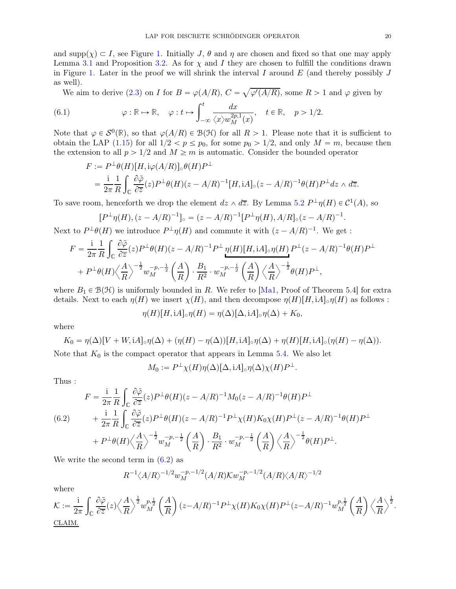and  $\text{supp}(\chi) \subset I$ , see Figure [1.](#page-18-1) Initially J,  $\theta$  and  $\eta$  are chosen and fixed so that one may apply Lemma [3.1](#page-8-3) and Proposition [3.2.](#page-9-3) As for  $\chi$  and I they are chosen to fulfill the conditions drawn in Figure [1.](#page-18-1) Later in the proof we will shrink the interval I around  $E$  (and thereby possibly J as well).

We aim to derive [\(2.3\)](#page-7-3) on I for  $B = \varphi(A/R)$ ,  $C = \sqrt{\varphi'(A/R)}$ , some  $R > 1$  and  $\varphi$  given by

(6.1) 
$$
\varphi : \mathbb{R} \to \mathbb{R}, \quad \varphi : t \mapsto \int_{-\infty}^{t} \frac{dx}{\langle x \rangle w_M^{2p,1}(x)}, \quad t \in \mathbb{R}, \quad p > 1/2.
$$

Note that  $\varphi \in \mathcal{S}^0(\mathbb{R})$ , so that  $\varphi(A/R) \in \mathcal{B}(\mathcal{H})$  for all  $R > 1$ . Please note that it is sufficient to obtain the LAP [\(1.15\)](#page-3-2) for all  $1/2 < p \le p_0$ , for some  $p_0 > 1/2$ , and only  $M = m$ , because then the extension to all  $p > 1/2$  and  $M \ge m$  is automatic. Consider the bounded operator

$$
F := P^{\perp}\theta(H)[H, i\varphi(A/R)]_{\circ}\theta(H)P^{\perp}
$$
  
=  $\frac{i}{2\pi} \frac{1}{R} \int_{\mathbb{C}} \frac{\partial \tilde{\varphi}}{\partial \overline{z}}(z)P^{\perp}\theta(H)(z - A/R)^{-1}[H, iA]_{\circ}(z - A/R)^{-1}\theta(H)P^{\perp}dz \wedge d\overline{z}.$ 

To save room, henceforth we drop the element  $dz \wedge d\overline{z}$ . By Lemma [5.2](#page-16-4)  $P^{\perp} \eta(H) \in C^1(A)$ , so

$$
[P^{\perp}\eta(H), (z - A/R)^{-1}]_{\circ} = (z - A/R)^{-1} [P^{\perp}\eta(H), A/R]_{\circ} (z - A/R)^{-1}.
$$

Next to  $P^{\perp}\theta(H)$  we introduce  $P^{\perp}\eta(H)$  and commute it with  $(z - A/R)^{-1}$ . We get :

$$
F = \frac{1}{2\pi} \frac{1}{R} \int_{\mathbb{C}} \frac{\partial \tilde{\varphi}}{\partial \overline{z}}(z) P^{\perp} \theta(H)(z - A/R)^{-1} P^{\perp} \eta(H)[H, iA]_{\circ} \eta(H) P^{\perp}(z - A/R)^{-1} \theta(H) P^{\perp}
$$
  
+  $P^{\perp} \theta(H) \left\langle \frac{A}{R} \right\rangle^{-\frac{1}{2}} w_M^{-p,-\frac{1}{2}} \left( \frac{A}{R} \right) \cdot \frac{B_1}{R^2} \cdot w_M^{-p,-\frac{1}{2}} \left( \frac{A}{R} \right) \left\langle \frac{A}{R} \right\rangle^{-\frac{1}{2}} \theta(H) P^{\perp},$ 

where  $B_1 \in \mathcal{B}(\mathcal{H})$  is uniformly bounded in R. We refer to [\[Ma1,](#page-29-0) Proof of Theorem 5.4] for extra details. Next to each  $\eta(H)$  we insert  $\chi(H)$ , and then decompose  $\eta(H)[H, iA]_{\circ}\eta(H)$  as follows :

$$
\eta(H)[H, iA]_{\circ}\eta(H) = \eta(\Delta)[\Delta, iA]_{\circ}\eta(\Delta) + K_0,
$$

where

$$
K_0 = \eta(\Delta)[V + W, iA]_{\circ}\eta(\Delta) + (\eta(H) - \eta(\Delta))[H, iA]_{\circ}\eta(\Delta) + \eta(H)[H, iA]_{\circ}(\eta(H) - \eta(\Delta)).
$$

Note that  $K_0$  is the compact operator that appears in Lemma [5.4.](#page-17-3) We also let

$$
M_0 := P^{\perp} \chi(H) \eta(\Delta) [\Delta, iA]_{\circ} \eta(\Delta) \chi(H) P^{\perp}.
$$

Thus :

<span id="page-19-0"></span>
$$
F = \frac{1}{2\pi} \frac{1}{R} \int_{\mathbb{C}} \frac{\partial \tilde{\varphi}}{\partial \overline{z}}(z) P^{\perp} \theta(H) (z - A/R)^{-1} M_0 (z - A/R)^{-1} \theta(H) P^{\perp}
$$
  
(6.2)  

$$
+ \frac{1}{2\pi} \frac{1}{R} \int_{\mathbb{C}} \frac{\partial \tilde{\varphi}}{\partial \overline{z}}(z) P^{\perp} \theta(H) (z - A/R)^{-1} P^{\perp} \chi(H) K_0 \chi(H) P^{\perp} (z - A/R)^{-1} \theta(H) P^{\perp}
$$

$$
+ P^{\perp} \theta(H) \Big\langle \frac{A}{R} \Big\rangle^{-\frac{1}{2}} w_M^{-p, -\frac{1}{2}} \left( \frac{A}{R} \right) \cdot \frac{B_1}{R^2} \cdot w_M^{-p, -\frac{1}{2}} \left( \frac{A}{R} \right) \Big\langle \frac{A}{R} \Big\rangle^{-\frac{1}{2}} \theta(H) P^{\perp}.
$$

We write the second term in  $(6.2)$  as

$$
R^{-1} \langle A/R \rangle^{-1/2} w_M^{-p,-1/2} (A/R) \mathcal{K} w_M^{-p,-1/2} (A/R) \langle A/R \rangle^{-1/2}
$$

where

$$
\mathcal{K} := \frac{i}{2\pi} \int_{\mathbb{C}} \frac{\partial \tilde{\varphi}}{\partial \overline{z}}(z) \left\langle \frac{A}{R} \right\rangle^{\frac{1}{2}} w_M^{p, \frac{1}{2}} \left( \frac{A}{R} \right) (z - A/R)^{-1} P^{\perp} \chi(H) K_0 \chi(H) P^{\perp} (z - A/R)^{-1} w_M^{p, \frac{1}{2}} \left( \frac{A}{R} \right) \left\langle \frac{A}{R} \right\rangle^{\frac{1}{2}}.
$$
  
CLAIM.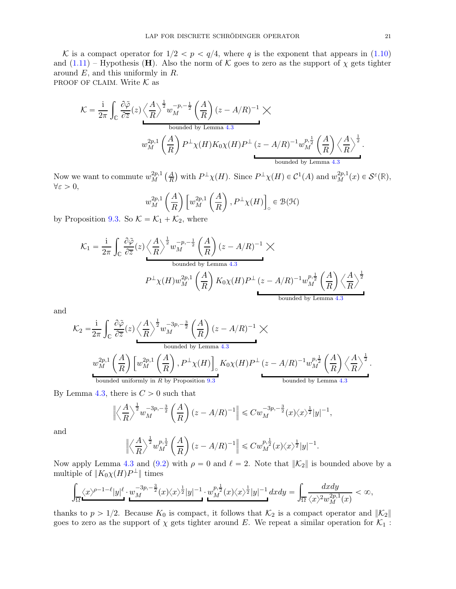K is a compact operator for  $1/2 < p < q/4$ , where q is the exponent that appears in [\(1.10\)](#page-2-1) and  $(1.11)$  – Hypothesis (H). Also the norm of K goes to zero as the support of  $\chi$  gets tighter around E, and this uniformly in R.

PROOF OF CLAIM. Write  $K$  as

$$
\mathcal{K} = \frac{1}{2\pi} \int_{\mathbb{C}} \frac{\partial \tilde{\varphi}}{\partial \overline{z}}(z) \left\langle \frac{A}{R} \right\rangle^{\frac{1}{2}} w_M^{-p, -\frac{1}{2}} \left( \frac{A}{R} \right) (z - A/R)^{-1} \times
$$
  
\nbounded by Lemma 4.3  
\n
$$
w_M^{2p, 1} \left( \frac{A}{R} \right) P^{\perp} \chi(H) K_0 \chi(H) P^{\perp} (z - A/R)^{-1} w_M^{p, \frac{1}{2}} \left( \frac{A}{R} \right) \left\langle \frac{A}{R} \right\rangle^{\frac{1}{2}}.
$$
  
\nbounded by Lemma 4.3  
\nbounded by Lemma 4.3

Now we want to commute  $w_M^{2p,1}$  $L_M^{2p,1}(\frac{A}{R})$  with  $P^{\perp}\chi(H)$ . Since  $P^{\perp}\chi(H) \in C^1(A)$  and  $w_M^{2p,1}(x) \in \mathcal{S}^{\varepsilon}(\mathbb{R}),$  $\forall \varepsilon > 0,$ 

$$
w_M^{2p,1}\left(\frac{A}{R}\right)\left[w_M^{2p,1}\left(\frac{A}{R}\right), P^{\perp}\chi(H)\right] \in \mathcal{B}(\mathcal{H})
$$

by Proposition [9.3.](#page-27-4) So  $K = \mathcal{K}_1 + \mathcal{K}_2$ , where

$$
\mathcal{K}_1 = \frac{1}{2\pi} \int_{\mathbb{C}} \frac{\partial \tilde{\varphi}}{\partial \overline{z}}(z) \left\langle \frac{A}{R} \right\rangle^{\frac{1}{2}} w_M^{-p,-\frac{1}{2}} \left( \frac{A}{R} \right) (z - A/R)^{-1} \times
$$
  
\nbounded by Lemma 4.3  
\n
$$
P^{\perp} \chi(H) w_M^{2p,1} \left( \frac{A}{R} \right) K_0 \chi(H) P^{\perp} (z - A/R)^{-1} w_M^{p,\frac{1}{2}} \left( \frac{A}{R} \right) \left\langle \frac{A}{R} \right\rangle^{\frac{1}{2}}
$$
  
\nbounded by Lemma 4.3  
\nbounded by Lemma 4.3

and

$$
\mathcal{K}_2 = \frac{1}{2\pi} \int_{\mathbb{C}} \frac{\partial \tilde{\varphi}}{\partial \overline{z}}(z) \left\langle \frac{A}{R} \right\rangle^{\frac{1}{2}} w_M^{-3p, -\frac{3}{2}} \left( \frac{A}{R} \right) (z - A/R)^{-1} \times
$$
  
\nbounded by Lemma 4.3  
\n
$$
w_M^{2p,1} \left( \frac{A}{R} \right) \left[ w_M^{2p,1} \left( \frac{A}{R} \right), P^{\perp} \chi(H) \right]_0 K_0 \chi(H) P^{\perp} (z - A/R)^{-1} w_M^{p,\frac{1}{2}} \left( \frac{A}{R} \right) \left\langle \frac{A}{R} \right\rangle^{\frac{1}{2}}.
$$
  
\nbounded uniformly in *R* by Proposition 9.3  
\nbounded by Lemma 4.3  
\nbounded by Lemma 4.3

By Lemma [4.3,](#page-11-1) there is  $C > 0$  such that

$$
\left\| \left\langle \frac{A}{R} \right\rangle^{\frac{1}{2}} w_M^{-3p,-\frac{3}{2}} \left( \frac{A}{R} \right) (z - A/R)^{-1} \right\| \leqslant C w_M^{-3p,-\frac{3}{2}} (x) \langle x \rangle^{\frac{1}{2}} |y|^{-1},
$$

and

$$
\left\|\left\langle\frac{A}{R}\right\rangle^{\frac{1}{2}}w^{p,\frac{1}{2}}_M\left(\frac{A}{R}\right)(z-A/R)^{-1}\right\|\leqslant Cw^{p,\frac{1}{2}}_M(x)\langle x\rangle^{\frac{1}{2}}|y|^{-1}.
$$

Now apply Lemma [4.3](#page-11-1) and [\(9.2\)](#page-27-5) with  $\rho = 0$  and  $\ell = 2$ . Note that  $\|\mathcal{K}_2\|$  is bounded above by a multiple of  $||K_0 \chi(H) P^{\perp}||$  times

$$
\int_{\overline{\Omega}}\langle x\rangle^{p-1-\ell}|y|^{\ell}\cdot w_M^{-3p,-\frac{3}{2}}(x)\langle x\rangle^{\frac{1}{2}}|y|^{-1}\cdot w_M^{p,\frac{1}{2}}(x)\langle x\rangle^{\frac{1}{2}}|y|^{-1}\,dxdy=\int_{\overline{\Omega}}\frac{dxdy}{\langle x\rangle^2w_M^{2p,1}(x)}<\infty,
$$

thanks to  $p > 1/2$ . Because  $K_0$  is compact, it follows that  $K_2$  is a compact operator and  $\|\mathcal{K}_2\|$ goes to zero as the support of  $\chi$  gets tighter around E. We repeat a similar operation for  $\mathcal{K}_1$ :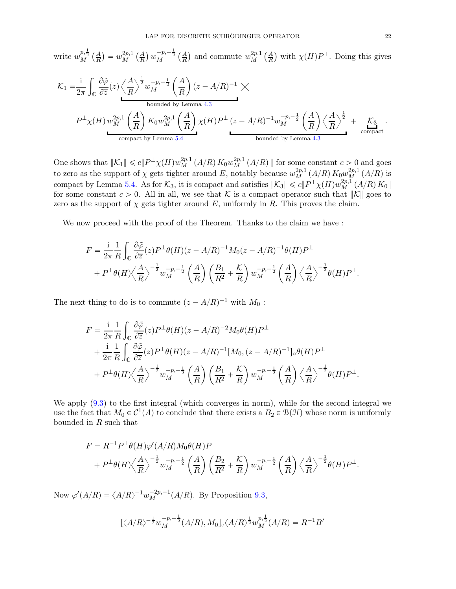write  $w_M^{p, \frac{1}{2}}\left(\frac{A}{R}\right) = w_M^{2p, 1}$  ${}_{M}^{2p,1}\left( \frac{A}{R}\right) w_{M}^{-p,-\frac{1}{2}}\left( \frac{A}{R}\right)$  and commute  $w_{M}^{2p,1}$  $_{M}^{2p,1}\left( \frac{A}{R}\right)$  with  $\chi(H)P^{\perp}$ . Doing this gives

$$
\mathcal{K}_1 = \frac{\mathrm{i}}{2\pi} \int_{\mathbb{C}} \frac{\partial \tilde{\varphi}}{\partial \overline{z}}(z) \left\langle \frac{A}{R} \right\rangle^{\frac{1}{2}} w_M^{-p, -\frac{1}{2}} \left( \frac{A}{R} \right) (z - A/R)^{-1} \times
$$
\nbounded by Lemma 4.3\n
$$
P^{\perp} \chi(H) w_M^{2p, 1} \left( \frac{A}{R} \right) K_0 w_M^{2p, 1} \left( \frac{A}{R} \right) \chi(H) P^{\perp} (z - A/R)^{-1} w_M^{-p, -\frac{1}{2}} \left( \frac{A}{R} \right) \left\langle \frac{A}{R} \right\rangle^{\frac{1}{2}} + \mathcal{K}_3
$$
\ncompact by Lemma 5.4\nbounded by Lemma 4.3\n
$$
\text{bounded by Lemma 4.3}
$$

One shows that  $||{\mathcal{K}}_1|| \leq c||P^{\perp} \chi(H)w_M^{2p,1}(A/R) K_0w_M^{2p,1}(A/R)$  for some constant  $c > 0$  and goes to zero as the support of  $\chi$  gets tighter around E, notably because  $w_M^{2p,1}(A/R) K_0 w_M^{2p,1}(A/R)$  is compact by Lemma [5.4.](#page-17-3) As for  $\mathcal{K}_3$ , it is compact and satisfies  $\|\mathcal{K}_3\| \leq c \|P^{\perp} \chi(H) w_M^{2p,1}(A/R) K_0\|$ for some constant  $c > 0$ . All in all, we see that K is a compact operator such that  $\|\mathcal{K}\|$  goes to zero as the support of  $\chi$  gets tighter around E, uniformly in R. This proves the claim.

We now proceed with the proof of the Theorem. Thanks to the claim we have :

$$
F = \frac{1}{2\pi} \frac{1}{R} \int_{\mathbb{C}} \frac{\partial \tilde{\varphi}}{\partial \overline{z}}(z) P^{\perp} \theta(H) (z - A/R)^{-1} M_0 (z - A/R)^{-1} \theta(H) P^{\perp} + P^{\perp} \theta(H) \Big\langle \frac{A}{R} \Big\rangle^{-\frac{1}{2}} w_M^{-p, -\frac{1}{2}} \left( \frac{A}{R} \right) \left( \frac{B_1}{R^2} + \frac{K}{R} \right) w_M^{-p, -\frac{1}{2}} \left( \frac{A}{R} \right) \Big\langle \frac{A}{R} \Big\rangle^{-\frac{1}{2}} \theta(H) P^{\perp}.
$$

The next thing to do is to commute  $(z - A/R)^{-1}$  with  $M_0$ :

$$
F = \frac{1}{2\pi} \frac{1}{R} \int_{\mathbb{C}} \frac{\partial \tilde{\varphi}}{\partial \overline{z}}(z) P^{\perp} \theta(H) (z - A/R)^{-2} M_0 \theta(H) P^{\perp}
$$
  
+ 
$$
\frac{1}{2\pi} \frac{1}{R} \int_{\mathbb{C}} \frac{\partial \tilde{\varphi}}{\partial \overline{z}}(z) P^{\perp} \theta(H) (z - A/R)^{-1} [M_0, (z - A/R)^{-1}]_{\circ} \theta(H) P^{\perp}
$$
  
+ 
$$
P^{\perp} \theta(H) \Big\langle \frac{A}{R} \Big\rangle^{-\frac{1}{2}} w_M^{-p, -\frac{1}{2}} \left( \frac{A}{R} \right) \left( \frac{B_1}{R^2} + \frac{K}{R} \right) w_M^{-p, -\frac{1}{2}} \left( \frac{A}{R} \right) \Big\langle \frac{A}{R} \Big\rangle^{-\frac{1}{2}} \theta(H) P^{\perp}.
$$

We apply [\(9.3\)](#page-27-6) to the first integral (which converges in norm), while for the second integral we use the fact that  $M_0 \in C^1(A)$  to conclude that there exists a  $B_2 \in \mathcal{B}(\mathcal{H})$  whose norm is uniformly bounded in R such that

$$
F = R^{-1}P^{\perp}\theta(H)\varphi'(A/R)M_0\theta(H)P^{\perp}
$$
  
+  $P^{\perp}\theta(H)\left\langle\frac{A}{R}\right\rangle^{-\frac{1}{2}}w_M^{-p,-\frac{1}{2}}\left(\frac{A}{R}\right)\left(\frac{B_2}{R^2}+\frac{K}{R}\right)w_M^{-p,-\frac{1}{2}}\left(\frac{A}{R}\right)\left\langle\frac{A}{R}\right\rangle^{-\frac{1}{2}}\theta(H)P^{\perp}.$ 

Now  $\varphi'(A/R) = \langle A/R \rangle^{-1} w_M^{-2p,-1}(A/R)$ . By Proposition [9.3,](#page-27-4)

$$
[\langle A/R \rangle^{-\frac{1}{2}} w_M^{-p,-\frac{1}{2}} (A/R), M_0] \langle A/R \rangle^{\frac{1}{2}} w_M^{p,\frac{1}{2}} (A/R) = R^{-1} B'
$$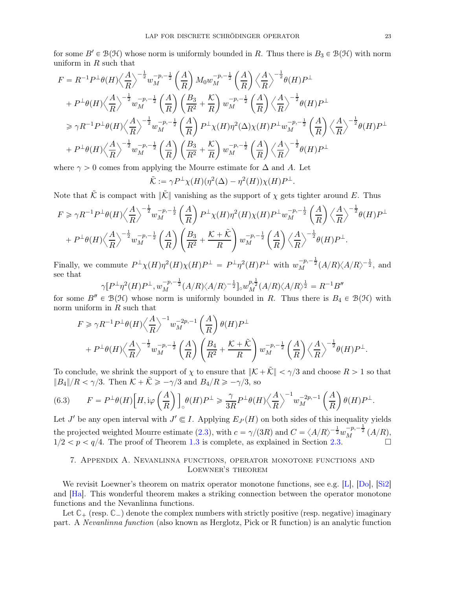for some  $B' \in \mathcal{B}(\mathcal{H})$  whose norm is uniformly bounded in R. Thus there is  $B_3 \in \mathcal{B}(\mathcal{H})$  with norm uniform in  $R$  such that

$$
F = R^{-1}P^{\perp}\theta(H)\left\langle\frac{A}{R}\right\rangle^{-\frac{1}{2}}w_M^{-p,-\frac{1}{2}}\left(\frac{A}{R}\right)M_0w_M^{-p,-\frac{1}{2}}\left(\frac{A}{R}\right)\left\langle\frac{A}{R}\right\rangle^{-\frac{1}{2}}\theta(H)P^{\perp}
$$
  
+  $P^{\perp}\theta(H)\left\langle\frac{A}{R}\right\rangle^{-\frac{1}{2}}w_M^{-p,-\frac{1}{2}}\left(\frac{A}{R}\right)\left(\frac{B_3}{R^2} + \frac{K}{R}\right)w_M^{-p,-\frac{1}{2}}\left(\frac{A}{R}\right)\left\langle\frac{A}{R}\right\rangle^{-\frac{1}{2}}\theta(H)P^{\perp}$   
 $\geq \gamma R^{-1}P^{\perp}\theta(H)\left\langle\frac{A}{R}\right\rangle^{-\frac{1}{2}}w_M^{-p,-\frac{1}{2}}\left(\frac{A}{R}\right)P^{\perp}\chi(H)\eta^2(\Delta)\chi(H)P^{\perp}w_M^{-p,-\frac{1}{2}}\left(\frac{A}{R}\right)\left\langle\frac{A}{R}\right\rangle^{-\frac{1}{2}}\theta(H)P^{\perp}$   
+  $P^{\perp}\theta(H)\left\langle\frac{A}{R}\right\rangle^{-\frac{1}{2}}w_M^{-p,-\frac{1}{2}}\left(\frac{A}{R}\right)\left(\frac{B_3}{R^2} + \frac{K}{R}\right)w_M^{-p,-\frac{1}{2}}\left(\frac{A}{R}\right)\left\langle\frac{A}{R}\right\rangle^{-\frac{1}{2}}\theta(H)P^{\perp}$ 

where  $\gamma > 0$  comes from applying the Mourre estimate for  $\Delta$  and A. Let

$$
\tilde{\mathcal{K}} := \gamma P^{\perp} \chi(H) (\eta^2(\Delta) - \eta^2(H)) \chi(H) P^{\perp}.
$$

Note that  $\tilde{\mathcal{K}}$  is compact with  $\|\tilde{\mathcal{K}}\|$  vanishing as the support of  $\chi$  gets tighter around E. Thus

$$
F \ge \gamma R^{-1} P^{\perp} \theta(H) \left\langle \frac{A}{R} \right\rangle^{-\frac{1}{2}} w_M^{-p, -\frac{1}{2}} \left( \frac{A}{R} \right) P^{\perp} \chi(H) \eta^2(H) \chi(H) P^{\perp} w_M^{-p, -\frac{1}{2}} \left( \frac{A}{R} \right) \left\langle \frac{A}{R} \right\rangle^{-\frac{1}{2}} \theta(H) P^{\perp}
$$
  
+  $P^{\perp} \theta(H) \left\langle \frac{A}{R} \right\rangle^{-\frac{1}{2}} w_M^{-p, -\frac{1}{2}} \left( \frac{A}{R} \right) \left( \frac{B_3}{R^2} + \frac{K + \tilde{K}}{R} \right) w_M^{-p, -\frac{1}{2}} \left( \frac{A}{R} \right) \left\langle \frac{A}{R} \right\rangle^{-\frac{1}{2}} \theta(H) P^{\perp}.$ 

Finally, we commute  $P^{\perp} \chi(H) \eta^2(H) \chi(H) P^{\perp} = P^{\perp} \eta^2(H) P^{\perp}$  with  $w_M^{-p,-\frac{1}{2}}(A/R) \langle A/R \rangle^{-\frac{1}{2}}$ , and see that

$$
\gamma[P^{\perp}\eta^{2}(H)P^{\perp}, w_M^{-p,-\frac{1}{2}}(A/R)\langle A/R\rangle^{-\frac{1}{2}}]_{\circ}w_M^{p,\frac{1}{2}}(A/R)\langle A/R\rangle^{\frac{1}{2}} = R^{-1}B''
$$
\n6. B.(K) whose norm is uniformly bounded in  $P$ . Thus, there is  $P$ .

for some  $B'' \in \mathcal{B}(\mathcal{H})$  whose norm is uniformly bounded in R. Thus there is  $B_4 \in \mathcal{B}(\mathcal{H})$  with norm uniform in  $R$  such that

$$
F \ge \gamma R^{-1} P^{\perp} \theta(H) \left\langle \frac{A}{R} \right\rangle^{-1} w_M^{-2p,-1} \left( \frac{A}{R} \right) \theta(H) P^{\perp}
$$
  
+  $P^{\perp} \theta(H) \left\langle \frac{A}{R} \right\rangle^{-\frac{1}{2}} w_M^{-p,-\frac{1}{2}} \left( \frac{A}{R} \right) \left( \frac{B_4}{R^2} + \frac{K + \tilde{K}}{R} \right) w_M^{-p,-\frac{1}{2}} \left( \frac{A}{R} \right) \left\langle \frac{A}{R} \right\rangle^{-\frac{1}{2}} \theta(H) P^{\perp}.$ 

To conclude, we shrink the support of  $\chi$  to ensure that  $\|\mathcal{K} + \mathcal{K}\| < \gamma/3$  and choose  $R > 1$  so that  $||B_4||/R < \gamma/3$ . Then  $K + \tilde{K} \ge -\gamma/3$  and  $B_4/R \ge -\gamma/3$ , so

(6.3) 
$$
F = P^{\perp}\theta(H) \Big[ H, i\varphi\left(\frac{A}{R}\right) \Big]_0 \theta(H) P^{\perp} \geq \frac{\gamma}{3R} P^{\perp}\theta(H) \left\langle \frac{A}{R} \right\rangle^{-1} w_M^{-2p, -1} \left(\frac{A}{R}\right) \theta(H) P^{\perp}.
$$

Let J' be any open interval with  $J' \subseteq I$ . Applying  $E_{J'}(H)$  on both sides of this inequality yields the projected weighted Mourre estimate [\(2.3\)](#page-7-3), with  $c = \gamma/(3R)$  and  $C = \langle A/R \rangle^{-\frac{1}{2}} w_M^{-p,-\frac{1}{2}} (A/R)$ .  $1/2 < p < q/4$ . The proof of Theorem [1.3](#page-3-1) is complete, as explained in Section [2.3.](#page-7-4)

## <span id="page-22-0"></span>7. Appendix A. Nevanlinna functions, operator monotone functions and Loewner's theorem

We revisit Loewner's theorem on matrix operator monotone functions, see e.g. [\[L\]](#page-28-22), [\[Do\]](#page-28-23), [\[Si2\]](#page-29-19) and [\[Ha\]](#page-28-24). This wonderful theorem makes a striking connection between the operator monotone functions and the Nevanlinna functions.

Let  $\mathbb{C}_+$  (resp.  $\mathbb{C}_-$ ) denote the complex numbers with strictly positive (resp. negative) imaginary part. A *Nevanlinna function* (also known as Herglotz, Pick or R function) is an analytic function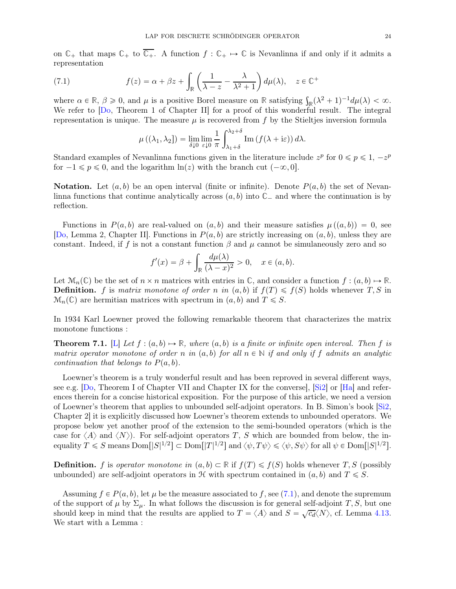on  $\mathbb{C}_+$  that maps  $\mathbb{C}_+$  to  $\overline{\mathbb{C}_+}$ . A function  $f : \mathbb{C}_+ \mapsto \mathbb{C}$  is Nevanlinna if and only if it admits a representation

(7.1) 
$$
f(z) = \alpha + \beta z + \int_{\mathbb{R}} \left( \frac{1}{\lambda - z} - \frac{\lambda}{\lambda^2 + 1} \right) d\mu(\lambda), \quad z \in \mathbb{C}^+
$$

where  $\alpha \in \mathbb{R}, \beta \geq 0$ , and  $\mu$  is a positive Borel measure on **R** satisfying  $\int_{\mathbb{R}} (\lambda^2 + 1)^{-1} d\mu(\lambda) < \infty$ . We refer to  $[D_0, T]$  Theorem 1 of Chapter II for a proof of this wonderful result. The integral representation is unique. The measure  $\mu$  is recovered from f by the Stieltjes inversion formula

<span id="page-23-0"></span>
$$
\mu((\lambda_1, \lambda_2]) = \lim_{\delta \downarrow 0} \lim_{\varepsilon \downarrow 0} \frac{1}{\pi} \int_{\lambda_1 + \delta}^{\lambda_2 + \delta} \text{Im} \left( f(\lambda + i\varepsilon) \right) d\lambda.
$$

Standard examples of Nevanlinna functions given in the literature include  $z^p$  for  $0 \leq p \leq 1, -z^p$ for  $-1 \leq p \leq 0$ , and the logarithm  $\ln(z)$  with the branch cut  $(-\infty, 0]$ .

**Notation.** Let  $(a, b)$  be an open interval (finite or infinite). Denote  $P(a, b)$  the set of Nevanlinna functions that continue analytically across  $(a, b)$  into  $\mathbb{C}_-$  and where the continuation is by reflection.

Functions in  $P(a, b)$  are real-valued on  $(a, b)$  and their measure satisfies  $\mu((a, b)) = 0$ , see [\[Do,](#page-28-23) Lemma 2, Chapter II]. Functions in  $P(a, b)$  are strictly increasing on  $(a, b)$ , unless they are constant. Indeed, if f is not a constant function  $\beta$  and  $\mu$  cannot be simulaneously zero and so

$$
f'(x) = \beta + \int_{\mathbb{R}} \frac{d\mu(\lambda)}{(\lambda - x)^2} > 0, \quad x \in (a, b).
$$

Let  $\mathcal{M}_n(\mathbb{C})$  be the set of  $n \times n$  matrices with entries in  $\mathbb{C}$ , and consider a function  $f : (a, b) \mapsto \mathbb{R}$ . **Definition.** f is matrix monotone of order n in  $(a, b)$  if  $f(T) \leq f(S)$  holds whenever T, S in  $\mathcal{M}_n(\mathbb{C})$  are hermitian matrices with spectrum in  $(a, b)$  and  $T \leq S$ .

In 1934 Karl Loewner proved the following remarkable theorem that characterizes the matrix monotone functions :

<span id="page-23-1"></span>**Theorem 7.1.** [\[L\]](#page-28-22) Let  $f : (a, b) \rightarrow \mathbb{R}$ , where  $(a, b)$  is a finite or infinite open interval. Then f is *matrix operator monotone of order* n *in*  $(a, b)$  *for all*  $n \in \mathbb{N}$  *if and only if* f *admits an analytic continuation that belongs to*  $P(a, b)$ *.* 

Loewner's theorem is a truly wonderful result and has been reproved in several different ways, see e.g. [\[Do,](#page-28-23) Theorem I of Chapter VII and Chapter IX for the converse], [\[Si2\]](#page-29-19) or [\[Ha\]](#page-28-24) and references therein for a concise historical exposition. For the purpose of this article, we need a version of Loewner's theorem that applies to unbounded self-adjoint operators. In B. Simon's book [\[Si2,](#page-29-19) Chapter 2] it is explicitly discussed how Loewner's theorem extends to unbounded operators. We propose below yet another proof of the extension to the semi-bounded operators (which is the case for  $\langle A \rangle$  and  $\langle N \rangle$ ). For self-adjoint operators T, S which are bounded from below, the inequality  $T \leq S$  means  $\text{Dom}[|S|^{1/2}] \subset \text{Dom}[|T|^{1/2}]$  and  $\langle \psi, T\psi \rangle \leq \langle \psi, S\psi \rangle$  for all  $\psi \in \text{Dom}[|S|^{1/2}]$ .

**Definition.** f is *operator monotone in*  $(a, b) \subset \mathbb{R}$  if  $f(T) \leq f(S)$  holds whenever T, S (possibly unbounded) are self-adjoint operators in  $\mathcal H$  with spectrum contained in  $(a, b)$  and  $T \leq S$ .

Assuming  $f \in P(a, b)$ , let  $\mu$  be the measure associated to f, see [\(7.1\)](#page-23-0), and denote the supremum of the support of  $\mu$  by  $\Sigma_{\mu}$ . In what follows the discussion is for general self-adjoint T, S, but one should keep in mind that the results are applied to  $T = \langle A \rangle$  and  $S = \sqrt{c_d} \langle N \rangle$ , cf. Lemma [4.13.](#page-16-2) We start with a Lemma :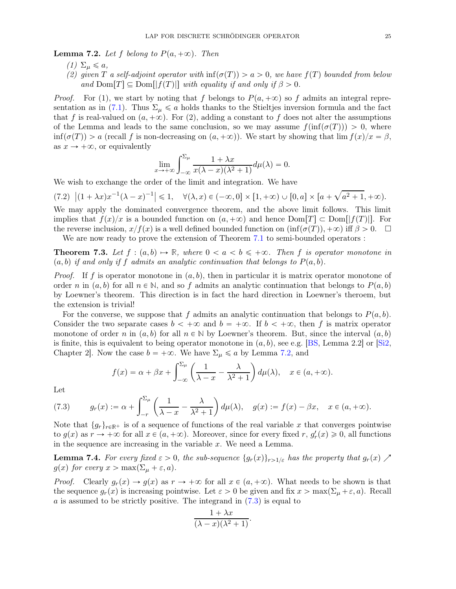<span id="page-24-1"></span>**Lemma 7.2.** Let f belong to  $P(a, +\infty)$ . Then

- $(1)$   $\Sigma_{\mu} \leqslant a$ ,
- *(2) given* T *a self-adjoint operator with*  $\inf(\sigma(T)) > a > 0$ , we have  $f(T)$  bounded from below and  $\text{Dom}[T] \subseteq \text{Dom}[f(T)]$  *with equality if and only if*  $\beta > 0$ *.*

*Proof.* For (1), we start by noting that f belongs to  $P(a, +\infty)$  so f admits an integral repre-sentation as in [\(7.1\)](#page-23-0). Thus  $\Sigma_{\mu} \leq a$  holds thanks to the Stieltjes inversion formula and the fact that f is real-valued on  $(a, +\infty)$ . For (2), adding a constant to f does not alter the assumptions of the Lemma and leads to the same conclusion, so we may assume  $f(\inf(\sigma(T))) > 0$ , where  $\inf(\sigma(T)) > a$  (recall f is non-decreasing on  $(a, +\infty)$ ). We start by showing that  $\lim_{x \to a} f(x)/x = \beta$ , as  $x \to +\infty$ , or equivalently

$$
\lim_{x \to +\infty} \int_{-\infty}^{\Sigma_{\mu}} \frac{1 + \lambda x}{x(\lambda - x)(\lambda^2 + 1)} d\mu(\lambda) = 0.
$$

We wish to exchange the order of the limit and integration. We have

 $(7.2) \ |(1 + \lambda x)x^{-1}(\lambda - x)^{-1}| \leq 1, \quad \forall (\lambda, x) \in (-\infty, 0] \times [1, +\infty) \cup [0, a] \times [a + \sqrt{a^2 + 1}, +\infty).$ 

We may apply the dominated convergence theorem, and the above limit follows. This limit implies that  $f(x)/x$  is a bounded function on  $(a, +\infty)$  and hence  $Dom(T) \subset Dom|f(T)|$ . For the reverse inclusion,  $x/f(x)$  is a well defined bounded function on  $(\inf(\sigma(T)), +\infty)$  iff  $\beta > 0$ . We are now ready to prove the extension of Theorem [7.1](#page-23-1) to semi-bounded operators :

<span id="page-24-0"></span>**Theorem 7.3.** Let  $f : (a, b) \rightarrow \mathbb{R}$ , where  $0 < a < b \leq +\infty$ . Then f is operator monotone in  $p(a, b)$  *if and only if* f *admits an analytic continuation that belongs to*  $P(a, b)$ *.* 

*Proof.* If f is operator monotone in  $(a, b)$ , then in particular it is matrix operator monotone of order n in  $(a, b)$  for all  $n \in \mathbb{N}$ , and so f admits an analytic continuation that belongs to  $P(a, b)$ by Loewner's theorem. This direction is in fact the hard direction in Loewner's theroem, but the extension is trivial!

For the converse, we suppose that f admits an analytic continuation that belongs to  $P(a, b)$ . Consider the two separate cases  $b < +\infty$  and  $b = +\infty$ . If  $b < +\infty$ , then f is matrix operator monotone of order n in  $(a, b)$  for all  $n \in \mathbb{N}$  by Loewner's theorem. But, since the interval  $(a, b)$ is finite, this is equivalent to being operator monotone in  $(a, b)$ , see e.g. [\[BS,](#page-28-25) Lemma 2.2] or [\[Si2,](#page-29-19) Chapter 2]. Now the case  $b = +\infty$ . We have  $\Sigma_{\mu} \le a$  by Lemma [7.2,](#page-24-1) and

$$
f(x) = \alpha + \beta x + \int_{-\infty}^{\Sigma_{\mu}} \left( \frac{1}{\lambda - x} - \frac{\lambda}{\lambda^2 + 1} \right) d\mu(\lambda), \quad x \in (a, +\infty).
$$

Let

<span id="page-24-2"></span>(7.3) 
$$
g_r(x) := \alpha + \int_{-r}^{\Sigma_{\mu}} \left( \frac{1}{\lambda - x} - \frac{\lambda}{\lambda^2 + 1} \right) d\mu(\lambda), \quad g(x) := f(x) - \beta x, \quad x \in (a, +\infty).
$$

Note that  $\{g_r\}_{r\in\mathbb{R}^+}$  is of a sequence of functions of the real variable x that converges pointwise to  $g(x)$  as  $r \to +\infty$  for all  $x \in (a, +\infty)$ . Moreover, since for every fixed  $r, g'_r(x) \geq 0$ , all functions in the sequence are increasing in the variable  $x$ . We need a Lemma.

<span id="page-24-3"></span>**Lemma 7.4.** *For every fixed*  $\varepsilon > 0$ *, the sub-sequence*  $\{g_r(x)\}_{r>1/\varepsilon}$  *has the property that*  $g_r(x)$  $g(x)$  for every  $x > \max(\Sigma_{\mu} + \varepsilon, a)$ .

*Proof.* Clearly  $g_r(x) \to g(x)$  as  $r \to +\infty$  for all  $x \in (a, +\infty)$ . What needs to be shown is that the sequence  $g_r(x)$  is increasing pointwise. Let  $\varepsilon > 0$  be given and fix  $x > \max(\Sigma_\mu + \varepsilon, a)$ . Recall a is assumed to be strictly positive. The integrand in  $(7.3)$  is equal to

$$
\frac{1+\lambda x}{(\lambda-x)(\lambda^2+1)}.
$$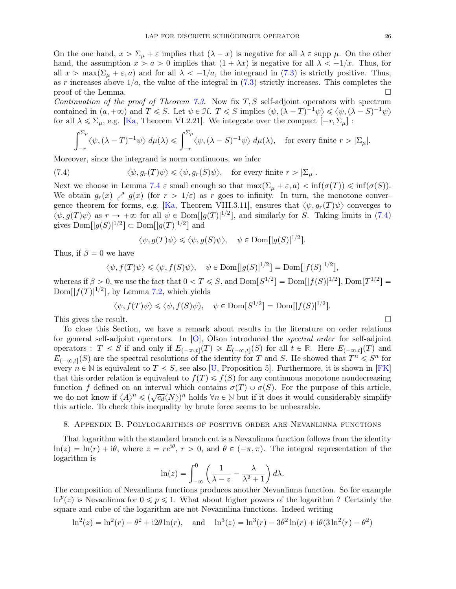On the one hand,  $x > \Sigma_{\mu} + \varepsilon$  implies that  $(\lambda - x)$  is negative for all  $\lambda \in \text{supp } \mu$ . On the other hand, the assumption  $x > a > 0$  implies that  $(1 + \lambda x)$  is negative for all  $\lambda < -1/x$ . Thus, for all  $x > \max(\Sigma_{\mu} + \varepsilon, a)$  and for all  $\lambda < -1/a$ , the integrand in [\(7.3\)](#page-24-2) is strictly positive. Thus, as r increases above  $1/a$ , the value of the integral in [\(7.3\)](#page-24-2) strictly increases. This completes the proof of the Lemma proof of the Lemma.

*Continuation of the proof of Theorem [7.3.](#page-24-0)* Now fix T, S self-adjoint operators with spectrum contained in  $(a, +\infty)$  and  $T \leq S$ . Let  $\psi \in \mathcal{H}$ .  $T \leq S$  implies  $\langle \psi, (\lambda - T)^{-1} \psi \rangle \leq \langle \psi, (\lambda - S)^{-1} \psi \rangle$ for all  $\lambda \leq \Sigma_{\mu}$ , e.g. [\[Ka,](#page-28-26) Theorem VI.2.21]. We integrate over the compact  $[-r, \Sigma_{\mu}]$ :

<span id="page-25-1"></span>
$$
\int_{-r}^{\Sigma_{\mu}} \langle \psi, (\lambda - T)^{-1} \psi \rangle \, d\mu(\lambda) \leq \int_{-r}^{\Sigma_{\mu}} \langle \psi, (\lambda - S)^{-1} \psi \rangle \, d\mu(\lambda), \quad \text{for every finite } r > |\Sigma_{\mu}|.
$$

Moreover, since the integrand is norm continuous, we infer

(7.4) 
$$
\langle \psi, g_r(T) \psi \rangle \leq \langle \psi, g_r(S) \psi \rangle
$$
, for every finite  $r > |\Sigma_{\mu}|$ .

Next we choose in Lemma [7.4](#page-24-3)  $\varepsilon$  small enough so that  $\max(\Sigma_{\mu} + \varepsilon, a) < \inf(\sigma(T)) \leq \inf(\sigma(S)).$ We obtain  $g_r(x) \nearrow g(x)$  (for  $r > 1/\varepsilon$ ) as r goes to infinity. In turn, the monotone conver-gence theorem for forms, e.g. [\[Ka,](#page-28-26) Theorem VIII.3.11], ensures that  $\langle \psi, q_r(T) \psi \rangle$  converges to  $\langle \psi, g(T) \psi \rangle$  as  $r \to +\infty$  for all  $\psi \in \text{Dom}[|g(T)|^{1/2}]$ , and similarly for S. Taking limits in [\(7.4\)](#page-25-1) gives  $\text{Dom}\left[|g(S)|^{1/2}\right] \subset \text{Dom}\left[|g(T)|^{1/2}\right]$  and

$$
\langle \psi, g(T)\psi \rangle \leq \langle \psi, g(S)\psi \rangle, \quad \psi \in \text{Dom}[|g(S)|^{1/2}].
$$

Thus, if  $\beta = 0$  we have

$$
\langle \psi, f(T)\psi \rangle \leq \langle \psi, f(S)\psi \rangle
$$
,  $\psi \in \text{Dom}[|g(S)|^{1/2}] = \text{Dom}[|f(S)|^{1/2}],$ 

whereas if  $\beta > 0$ , we use the fact that  $0 < T \le S$ , and  $\text{Dom}[S^{1/2}] = \text{Dom}[|f(S)|^{1/2}]$ ,  $\text{Dom}[T^{1/2}] =$  $\text{Dom}[|f(T)|^{1/2}]$ , by Lemma [7.2,](#page-24-1) which yields

$$
\langle \psi, f(T)\psi \rangle \leq \langle \psi, f(S)\psi \rangle
$$
,  $\psi \in \text{Dom}[S^{1/2}] = \text{Dom}[|f(S)|^{1/2}].$ 

This gives the result.  $\square$ 

To close this Section, we have a remark about results in the literature on order relations for general self-adjoint operators. In [\[O\]](#page-29-20), Olson introduced the *spectral order* for self-adjoint operators :  $T \leq S$  if and only if  $E_{(-\infty,t]}(T) \geq E_{(-\infty,t]}(S)$  for all  $t \in \mathbb{R}$ . Here  $E_{(-\infty,t]}(T)$  and  $E_{(-\infty,t]}(S)$  are the spectral resolutions of the identity for T and S. He showed that  $T^n \leqslant S^n$  for every  $n \in \mathbb{N}$  is equivalent to  $T \leq S$ , see also [\[U,](#page-29-21) Proposition 5]. Furthermore, it is shown in [\[FK\]](#page-28-27) that this order relation is equivalent to  $f(T) \leq f(S)$  for any continuous monotone nondecreasing function f defined on an interval which contains  $\sigma(T) \cup \sigma(S)$ . For the purpose of this article, we do not know if  $\langle A \rangle^n \leq (\sqrt{c_d} \langle N \rangle)^n$  holds  $\forall n \in \mathbb{N}$  but if it does it would considerably simplify this article. To check this inequality by brute force seems to be unbearable.

## <span id="page-25-0"></span>8. Appendix B. Polylogarithms of positive order are Nevanlinna functions

That logarithm with the standard branch cut is a Nevanlinna function follows from the identity  $\ln(z) = \ln(r) + i\theta$ , where  $z = re^{i\theta}$ ,  $r > 0$ , and  $\theta \in (-\pi, \pi)$ . The integral representation of the logarithm is

$$
\ln(z) = \int_{-\infty}^{0} \left( \frac{1}{\lambda - z} - \frac{\lambda}{\lambda^2 + 1} \right) d\lambda.
$$

The composition of Nevanlinna functions produces another Nevanlinna function. So for example  $\ln^p(z)$  is Nevanlinna for  $0 \leq p \leq 1$ . What about higher powers of the logarithm ? Certainly the square and cube of the logarithm are not Nevannlina functions. Indeed writing

$$
\ln^2(z) = \ln^2(r) - \theta^2 + i2\theta \ln(r)
$$
, and  $\ln^3(z) = \ln^3(r) - 3\theta^2 \ln(r) + i\theta(3\ln^2(r) - \theta^2)$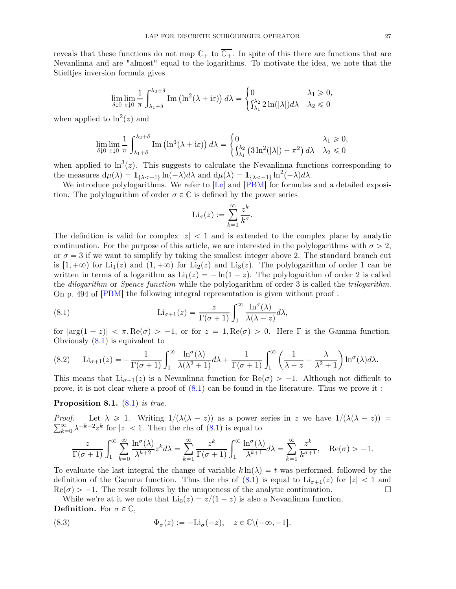reveals that these functions do not map  $\mathbb{C}_+$  to  $\overline{\mathbb{C}_+}$ . In spite of this there are functions that are Nevanlinna and are "almost" equal to the logarithms. To motivate the idea, we note that the Stieltjes inversion formula gives

$$
\lim_{\delta \downarrow 0} \lim_{\varepsilon \downarrow 0} \frac{1}{\pi} \int_{\lambda_1 + \delta}^{\lambda_2 + \delta} \text{Im} \left( \ln^2(\lambda + i\varepsilon) \right) d\lambda = \begin{cases} 0 & \lambda_1 \geq 0, \\ \int_{\lambda_1}^{\lambda_2} 2 \ln(|\lambda|) d\lambda & \lambda_2 \leq 0 \end{cases}
$$

when applied to  $\ln^2(z)$  and

$$
\lim_{\delta \downarrow 0} \lim_{\varepsilon \downarrow 0} \frac{1}{\pi} \int_{\lambda_1 + \delta}^{\lambda_2 + \delta} \text{Im} \left( \ln^3(\lambda + i\varepsilon) \right) d\lambda = \begin{cases} 0 & \lambda_1 \geq 0, \\ \int_{\lambda_1}^{\lambda_2} \left( 3\ln^2(|\lambda|) - \pi^2 \right) d\lambda & \lambda_2 \leq 0 \end{cases}
$$

when applied to  $\ln^3(z)$ . This suggests to calculate the Nevanlinna functions corresponding to the measures  $d\mu(\lambda) = \mathbf{1}_{\{\lambda < -1\}} \ln(-\lambda) d\lambda$  and  $d\mu(\lambda) = \mathbf{1}_{\{\lambda < -1\}} \ln^2(-\lambda) d\lambda$ .

We introduce polylogarithms. We refer to [\[Le\]](#page-28-28) and [\[PBM\]](#page-29-22) for formulas and a detailed exposition. The polylogarithm of order  $\sigma \in \mathbb{C}$  is defined by the power series

$$
\mathrm{Li}_{\sigma}(z) := \sum_{k=1}^{\infty} \frac{z^k}{k^{\sigma}}.
$$

The definition is valid for complex  $|z| < 1$  and is extended to the complex plane by analytic continuation. For the purpose of this article, we are interested in the polylogarithms with  $\sigma > 2$ , or  $\sigma = 3$  if we want to simplify by taking the smallest integer above 2. The standard branch cut is  $[1, +\infty)$  for Li<sub>1</sub>(z) and  $(1, +\infty)$  for Li<sub>2</sub>(z) and Li<sub>3</sub>(z). The polylogarithm of order 1 can be written in terms of a logarithm as  $\text{Li}_1(z) = -\ln(1 - z)$ . The polylogarithm of order 2 is called the *dilogarithm* or *Spence function* while the polylogarithm of order 3 is called the *trilogarithm*. On p. 494 of [\[PBM\]](#page-29-22) the following integral representation is given without proof :

<span id="page-26-1"></span>(8.1) 
$$
\mathrm{Li}_{\sigma+1}(z) = \frac{z}{\Gamma(\sigma+1)} \int_1^{\infty} \frac{\ln^{\sigma}(\lambda)}{\lambda(\lambda-z)} d\lambda,
$$

for  $|\arg(1 - z)| < \pi$ ,  $\text{Re}(\sigma) > -1$ , or for  $z = 1$ ,  $\text{Re}(\sigma) > 0$ . Here Γ is the Gamma function. Obviously [\(8.1\)](#page-26-1) is equivalent to

<span id="page-26-2"></span>(8.2) 
$$
\text{Li}_{\sigma+1}(z) = -\frac{1}{\Gamma(\sigma+1)} \int_1^{\infty} \frac{\ln^{\sigma}(\lambda)}{\lambda(\lambda^2+1)} d\lambda + \frac{1}{\Gamma(\sigma+1)} \int_1^{\infty} \left(\frac{1}{\lambda-z} - \frac{\lambda}{\lambda^2+1}\right) \ln^{\sigma}(\lambda) d\lambda.
$$

This means that  $Li_{\sigma+1}(z)$  is a Nevanlinna function for  $Re(\sigma) > -1$ . Although not difficult to prove, it is not clear where a proof of [\(8.1\)](#page-26-1) can be found in the literature. Thus we prove it :

Proposition 8.1. [\(8.1\)](#page-26-1) *is true.*

*Proof.* Let  $\lambda \geq 1$ . Writing  $1/(\lambda(\lambda - z))$  as a power series in z we have  $1/(\lambda(\lambda - z))$  =  $\sum_{k=0}^{\infty} \lambda^{-k-2} z^k$  for  $|z| < 1$ . Then the rhs of [\(8.1\)](#page-26-1) is equal to

$$
\frac{z}{\Gamma(\sigma+1)} \int_1^{\infty} \sum_{k=0}^{\infty} \frac{\ln^{\sigma}(\lambda)}{\lambda^{k+2}} z^k d\lambda = \sum_{k=1}^{\infty} \frac{z^k}{\Gamma(\sigma+1)} \int_1^{\infty} \frac{\ln^{\sigma}(\lambda)}{\lambda^{k+1}} d\lambda = \sum_{k=1}^{\infty} \frac{z^k}{k^{\sigma+1}}, \quad \text{Re}(\sigma) > -1.
$$

To evaluate the last integral the change of variable  $k \ln(\lambda) = t$  was performed, followed by the definition of the Gamma function. Thus the rhs of  $(8.1)$  is equal to  $Li_{\sigma+1}(z)$  for  $|z| < 1$  and  $Re(\sigma) > -1$ . The result follows by the uniqueness of the analytic continuation.  $\text{Re}(\sigma) > -1$ . The result follows by the uniqueness of the analytic continuation.

While we're at it we note that  $\text{Li}_0(z) = z/(1 - z)$  is also a Nevanlinna function. **Definition.** For  $\sigma \in \mathbb{C}$ ,

<span id="page-26-0"></span>(8.3) 
$$
\Phi_{\sigma}(z) := -\text{Li}_{\sigma}(-z), \quad z \in \mathbb{C} \setminus (-\infty, -1].
$$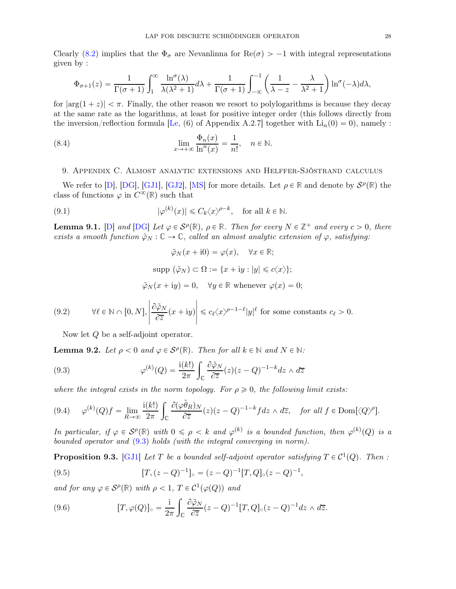Clearly [\(8.2\)](#page-26-2) implies that the  $\Phi_{\sigma}$  are Nevanlinna for Re( $\sigma$ ) > -1 with integral representations given by :

$$
\Phi_{\sigma+1}(z) = \frac{1}{\Gamma(\sigma+1)} \int_1^{\infty} \frac{\ln^{\sigma}(\lambda)}{\lambda(\lambda^2+1)} d\lambda + \frac{1}{\Gamma(\sigma+1)} \int_{-\infty}^{-1} \left( \frac{1}{\lambda-z} - \frac{\lambda}{\lambda^2+1} \right) \ln^{\sigma}(-\lambda) d\lambda,
$$

for  $|\arg(1 + z)| < \pi$ . Finally, the other reason we resort to polylogarithms is because they decay at the same rate as the logarithms, at least for positive integer order (this follows directly from the inversion/reflection formula [\[Le,](#page-28-28) (6) of Appendix A.2.7] together with  $\text{Li}_n(0)=0$ , namely :

(8.4) 
$$
\lim_{x \to +\infty} \frac{\Phi_n(x)}{\ln^n(x)} = \frac{1}{n!}, \quad n \in \mathbb{N}.
$$

## <span id="page-27-0"></span>9. Appendix C. Almost analytic extensions and Helffer-Sjöstrand calculus

We refer to [\[D\]](#page-28-29), [\[DG\]](#page-28-19), [\[GJ1\]](#page-28-13), [\[GJ2\]](#page-28-4), [\[MS\]](#page-29-23) for more details. Let  $\rho \in \mathbb{R}$  and denote by  $\mathcal{S}^{\rho}(\mathbb{R})$  the class of functions  $\varphi$  in  $C^{\infty}(\mathbb{R})$  such that

(9.1) 
$$
|\varphi^{(k)}(x)| \leq C_k \langle x \rangle^{\rho-k}, \text{ for all } k \in \mathbb{N}.
$$

<span id="page-27-1"></span>**Lemma 9.1.** [\[D\]](#page-28-29) and [\[DG\]](#page-28-19) Let  $\varphi \in \mathcal{S}^{\rho}(\mathbb{R})$ ,  $\rho \in \mathbb{R}$ *. Then for every*  $N \in \mathbb{Z}^+$  and every  $c > 0$ , there *exists a smooth function*  $\tilde{\varphi}_N : \mathbb{C} \to \mathbb{C}$ *, called an almost analytic extension of*  $\varphi$ *, satisfying:* 

<span id="page-27-3"></span><span id="page-27-2"></span>
$$
\tilde{\varphi}_N(x + i0) = \varphi(x), \quad \forall x \in \mathbb{R};
$$
  
 
$$
\text{supp } (\tilde{\varphi}_N) \subset \Omega := \{x + iy : |y| \leq c\langle x \rangle\};
$$
  
 
$$
\tilde{\varphi}_N(x + iy) = 0, \quad \forall y \in \mathbb{R} \text{ whenever } \varphi(x) = 0;
$$

(9.2) 
$$
\forall \ell \in \mathbb{N} \cap [0, N], \left| \frac{\partial \tilde{\varphi}_N}{\partial \overline{z}}(x + iy) \right| \leq c_{\ell} \langle x \rangle^{\rho - 1 - \ell} |y|^{\ell} \text{ for some constants } c_{\ell} > 0.
$$

<span id="page-27-6"></span><span id="page-27-5"></span>Now let Q be a self-adjoint operator.

**Lemma 9.2.** Let  $\rho < 0$  and  $\varphi \in \mathcal{S}^{\rho}(\mathbb{R})$ . Then for all  $k \in \mathbb{N}$  and  $N \in \mathbb{N}$ :

(9.3) 
$$
\varphi^{(k)}(Q) = \frac{i(k!)}{2\pi} \int_{\mathbb{C}} \frac{\partial \tilde{\varphi}_N}{\partial \overline{z}}(z)(z - Q)^{-1-k} dz \wedge d\overline{z}
$$

*where the integral exists in the norm topology. For*  $\rho \geq 0$ *, the following limit exists:* 

$$
(9.4) \qquad \varphi^{(k)}(Q)f = \lim_{R \to \infty} \frac{\mathrm{i}(k!)}{2\pi} \int_{\mathbb{C}} \frac{\partial(\varphi \tilde{\theta}_R)_N}{\partial \overline{z}}(z)(z - Q)^{-1-k} f dz \wedge d\overline{z}, \quad \text{for all } f \in \text{Dom}[\langle Q \rangle^{\rho}].
$$

*In particular, if*  $\varphi \in S^{\rho}(\mathbb{R})$  *with*  $0 \leq \rho < k$  *and*  $\varphi^{(k)}$  *is a bounded function, then*  $\varphi^{(k)}(Q)$  *is a bounded operator and* [\(9.3\)](#page-27-6) *holds (with the integral converging in norm).*

**Proposition 9.3.** [\[GJ1\]](#page-28-13) Let T be a bounded self-adjoint operator satisfying  $T \in C^1(Q)$ . Then :

(9.5) 
$$
[T, (z - Q)^{-1}]_{\circ} = (z - Q)^{-1} [T, Q]_{\circ} (z - Q)^{-1},
$$

*and for any*  $\varphi \in \mathcal{S}^{\rho}(\mathbb{R})$  *with*  $\rho < 1$ ,  $T \in \mathcal{C}^1(\varphi(Q))$  *and* 

<span id="page-27-4"></span>(9.6) 
$$
[T, \varphi(Q)]_{\circ} = \frac{i}{2\pi} \int_{\mathbb{C}} \frac{\partial \tilde{\varphi}_N}{\partial \overline{z}} (z - Q)^{-1} [T, Q]_{\circ} (z - Q)^{-1} dz \wedge d\overline{z}.
$$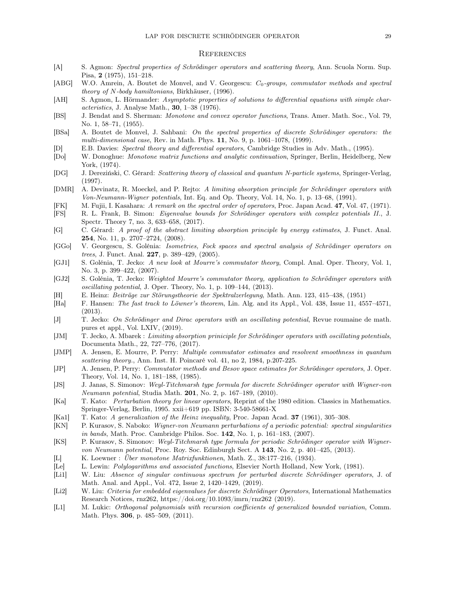#### **REFERENCES**

- <span id="page-28-0"></span>[A] S. Agmon: Spectral properties of Schrödinger operators and scattering theory, Ann. Scuola Norm. Sup. Pisa, 2 (1975), 151–218.
- <span id="page-28-1"></span>[ABG] W.O. Amrein, A. Boutet de Monvel, and V. Georgescu: C<sub>0</sub>-groups, commutator methods and spectral theory of N-body hamiltonians, Birkhäuser, (1996).
- <span id="page-28-18"></span>[AH] S. Agmon, L. Hörmander: Asymptotic properties of solutions to differential equations with simple characteristics, J. Analyse Math., 30, 1–38 (1976).
- <span id="page-28-25"></span>[BS] J. Bendat and S. Sherman: Monotone and convex operator functions, Trans. Amer. Math. Soc., Vol. 79, No. 1, 58–71, (1955).
- <span id="page-28-16"></span>[BSa] A. Boutet de Monvel, J. Sahbani: On the spectral properties of discrete Schrödinger operators: the multi-dimensional case, Rev. in Math. Phys.  $11$ , No. 9, p. 1061–1078, (1999).
- <span id="page-28-29"></span>[D] E.B. Davies: Spectral theory and differential operators, Cambridge Studies in Adv. Math., (1995).
- <span id="page-28-23"></span>[Do] W. Donoghue: Monotone matrix functions and analytic continuation, Springer, Berlin, Heidelberg, New York, (1974).
- <span id="page-28-19"></span>[DG] J. Dereziński, C. Gérard: Scattering theory of classical and quantum N-particle systems, Springer-Verlag, (1997).
- <span id="page-28-2"></span>[DMR] A. Devinatz, R. Moeckel, and P. Rejto: A limiting absorption principle for Schrödinger operators with Von-Neumann-Wigner potentials, Int. Eq. and Op. Theory, Vol. 14, No. 1, p. 13–68, (1991).
- <span id="page-28-27"></span>[FK] M. Fujii, I. Kasahara: A remark on the spectral order of operators, Proc. Japan Acad. 47, Vol. 47, (1971).
- <span id="page-28-3"></span>[FS] R. L. Frank, B. Simon: Eigenvalue bounds for Schrödinger operators with complex potentials II., J. Spectr. Theory 7, no. 3, 633–658, (2017).
- <span id="page-28-12"></span>[G] C. Gérard: A proof of the abstract limiting absorption principle by energy estimates, J. Funct. Anal. 254, No. 11, p. 2707–2724, (2008).
- <span id="page-28-14"></span>[GGo] V. Georgescu, S. Golénia: Isometries, Fock spaces and spectral analysis of Schrödinger operators on trees, J. Funct. Anal. 227, p. 389–429, (2005).
- <span id="page-28-13"></span>[GJ1] S. Golénia, T. Jecko: A new look at Mourre's commutator theory, Compl. Anal. Oper. Theory, Vol. 1, No. 3, p. 399–422, (2007).
- <span id="page-28-4"></span>[GJ2] S. Golénia, T. Jecko: Weighted Mourre's commutator theory, application to Schrödinger operators with oscillating potential, J. Oper. Theory, No. 1, p. 109–144, (2013).
- <span id="page-28-21"></span>[H] E. Heinz: Beiträge zur Störungstheorie der Spektralzerlegung, Math. Ann. 123, 415–438, (1951)
- <span id="page-28-24"></span>[Ha] F. Hansen: The fast track to Löwner's theorem, Lin. Alg. and its Appl., Vol. 438, Issue 11, 4557–4571, (2013).
- <span id="page-28-5"></span>[J] T. Jecko: On Schrödinger and Dirac operators with an oscillating potential, Revue roumaine de math. pures et appl., Vol. LXIV, (2019).
- <span id="page-28-6"></span>[JM] T. Jecko, A. Mbarek : Limiting absorption priniciple for Schrödinger operators with oscillating potentials, Documenta Math., 22, 727–776, (2017).
- [JMP] A. Jensen, E. Mourre, P. Perry: Multiple commutator estimates and resolvent smoothness in quantum scattering theory., Ann. Inst. H. Poincaré vol. 41, no 2, 1984, p.207-225.
- <span id="page-28-17"></span>[JP] A. Jensen, P. Perry: Commutator methods and Besov space estimates for Schrödinger operators, J. Oper. Theory, Vol. 14, No. 1, 181–188, (1985).
- <span id="page-28-9"></span>[JS] J. Janas, S. Simonov: Weyl-Titchmarsh type formula for discrete Schrödinger operator with Wigner-von Neumann potential, Studia Math. 201, No. 2, p. 167–189, (2010).
- <span id="page-28-26"></span>[Ka] T. Kato: Perturbation theory for linear operators, Reprint of the 1980 edition. Classics in Mathematics. Springer-Verlag, Berlin, 1995. xxii+619 pp. ISBN: 3-540-58661-X
- <span id="page-28-20"></span>[Ka1] T. Kato: A generalization of the Heinz inequality, Proc. Japan Acad. 37 (1961), 305–308.
- <span id="page-28-10"></span>[KN] P. Kurasov, S. Naboko: Wigner-von Neumann perturbations of a periodic potential: spectral singularities in bands, Math. Proc. Cambridge Philos. Soc. 142, No. 1, p. 161–183, (2007).
- <span id="page-28-11"></span>[KS] P. Kurasov, S. Simonov: Weyl-Titchmarsh type formula for periodic Schrödinger operator with Wignervon Neumann potential, Proc. Roy. Soc. Edinburgh Sect. A 143, No. 2, p. 401-425, (2013).
- <span id="page-28-22"></span>[L] K. Loewner : Über monotone Matrixfunktionen, Math. Z., 38:177–216, (1934).
- <span id="page-28-28"></span>[Le] L. Lewin: Polylogarithms and associated functions, Elsevier North Holland, New York, (1981).
- <span id="page-28-15"></span>[Li1] W. Liu: Absence of singular continuous spectrum for perturbed discrete Schrödinger operators, J. of Math. Anal. and Appl., Vol. 472, Issue 2, 1420–1429, (2019).
- <span id="page-28-7"></span>[Li2] W. Liu: Criteria for embedded eigenvalues for discrete Schrödinger Operators, International Mathematics Research Notices, rnz262, https://doi.org/10.1093/imrn/rnz262 (2019).
- <span id="page-28-8"></span>[L1] M. Lukic: Orthogonal polynomials with recursion coefficients of generalized bounded variation, Comm. Math. Phys. 306, p. 485–509, (2011).